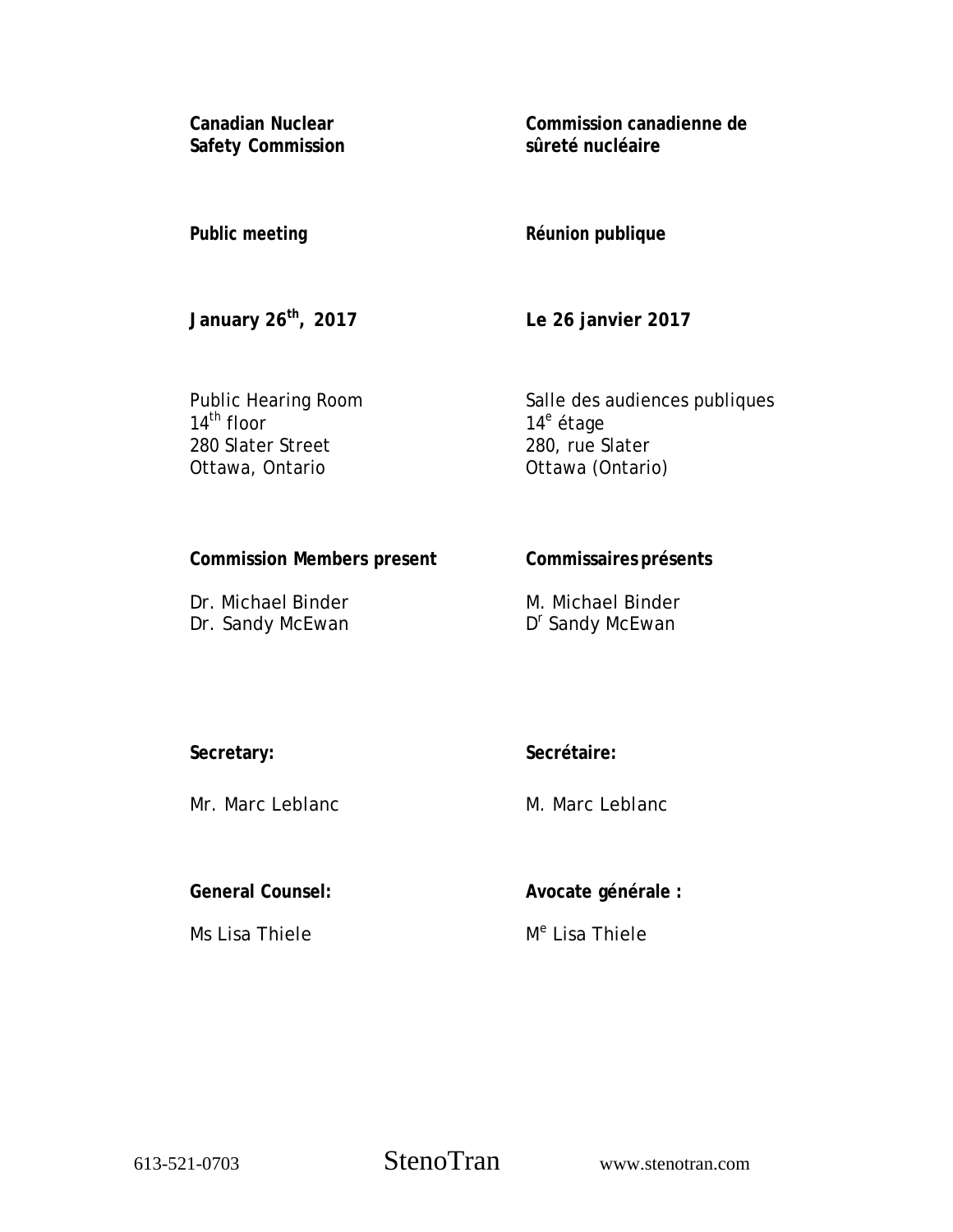**Canadian Nuclear Safety Commission**  **Commission canadienne de sûreté nucléaire** 

**Public meeting** 

**Réunion publique** 

**January 26th, 2017** 

**Le 26 janvier 2017** 

Public Hearing Room  $14^{\text{th}}$  floor 280 Slater Street Ottawa, Ontario

Salle des audiences publiques 14<sup>e</sup> étage 280, rue Slater Ottawa (Ontario)

**Commission Members present** 

Dr. Michael Binder Dr. Sandy McEwan **Commissaires présents** 

M. Michael Binder D<sup>r</sup> Sandy McEwan

**Secretary:** 

Mr. Marc Leblanc

**Secrétaire:** 

M. Marc Leblanc

**General Counsel:** 

Ms Lisa Thiele

**Avocate générale :** 

M<sup>e</sup> Lisa Thiele

613-521-0703 StenoTran www.stenotran.com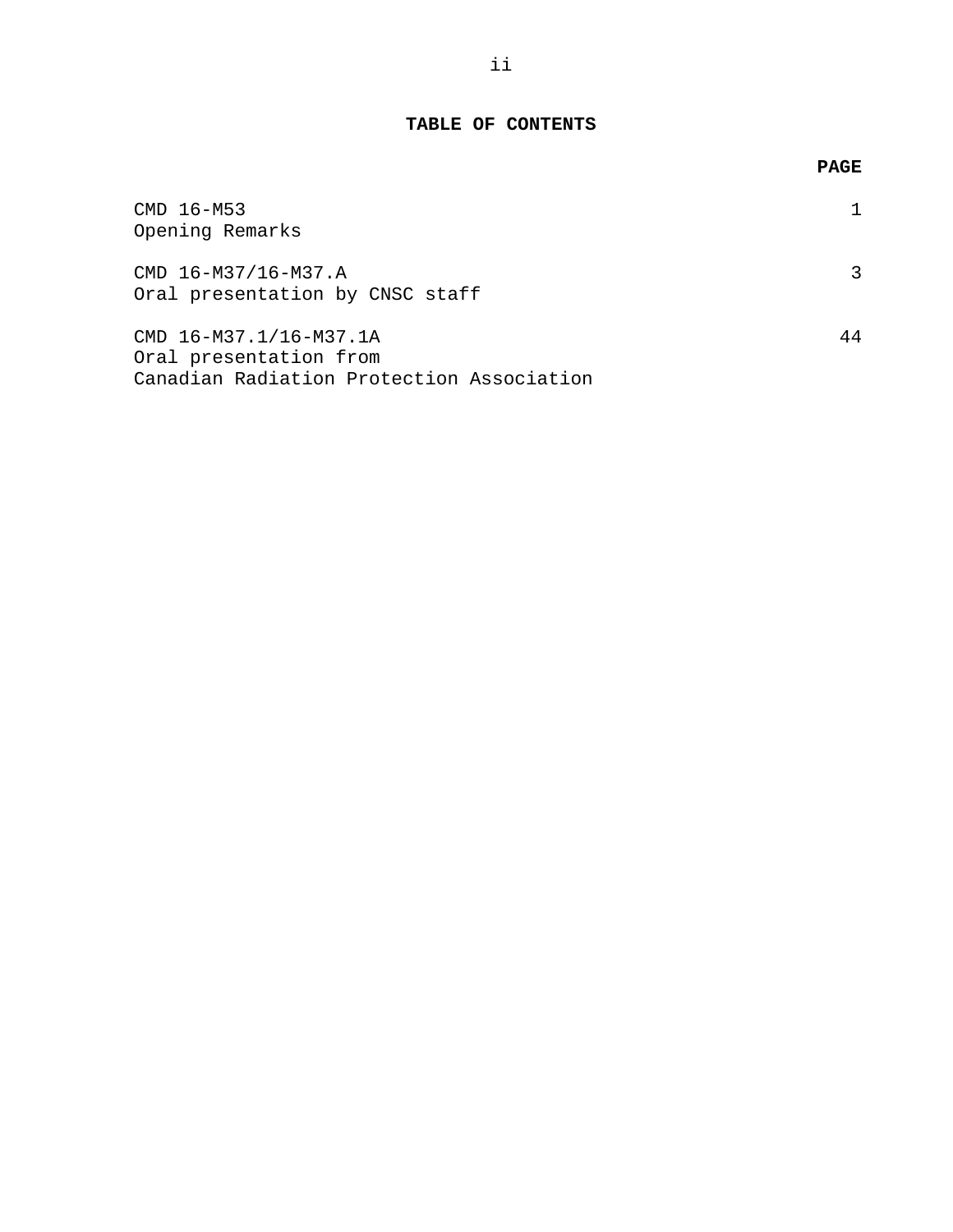# **TABLE OF CONTENTS**

|                                                                                               | <b>PAGE</b> |
|-----------------------------------------------------------------------------------------------|-------------|
| CMD 16-M53<br>Opening Remarks                                                                 |             |
| CMD 16-M37/16-M37.A<br>Oral presentation by CNSC staff                                        |             |
| CMD 16-M37.1/16-M37.1A<br>Oral presentation from<br>Canadian Radiation Protection Association | 44          |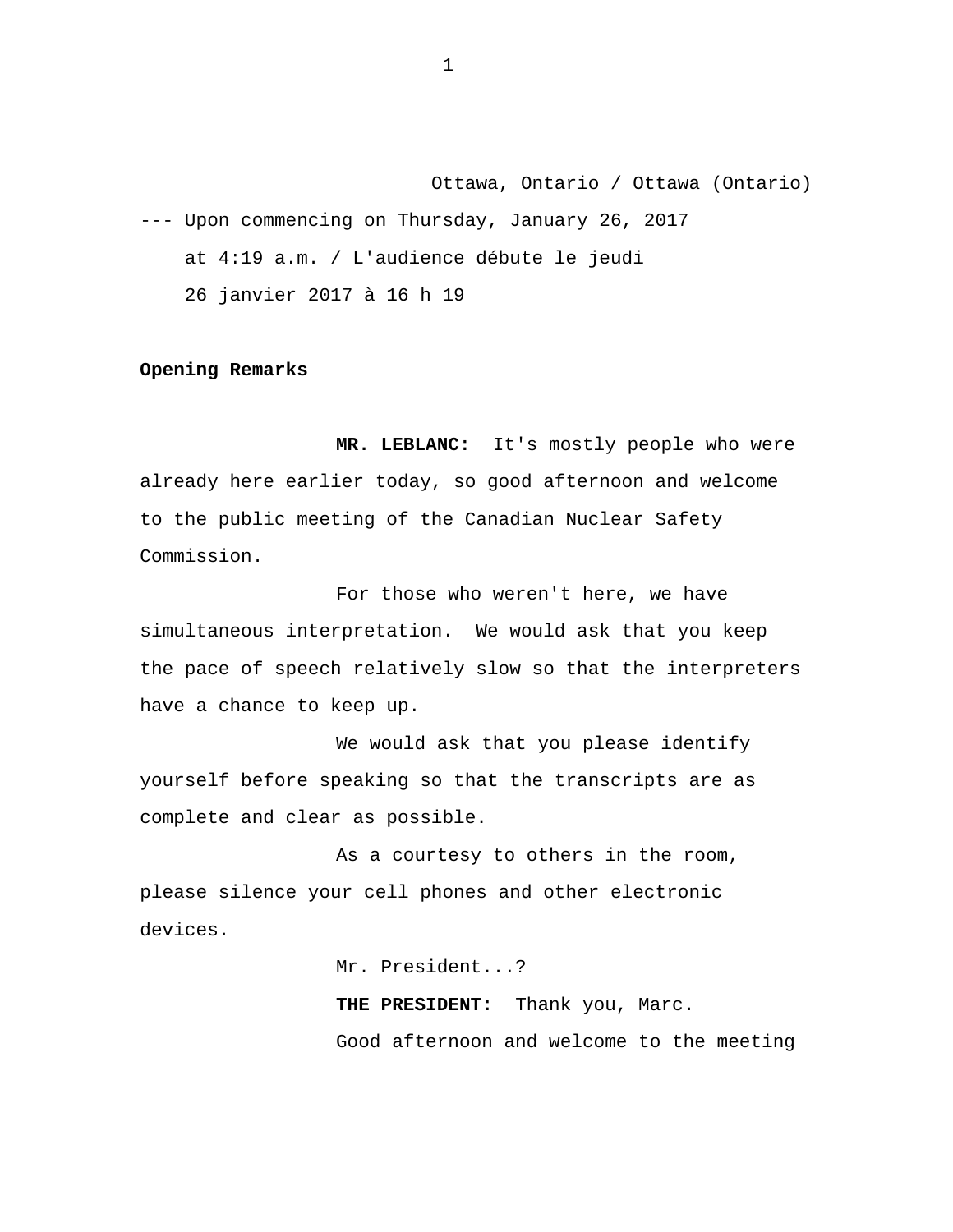Ottawa, Ontario / Ottawa (Ontario) --- Upon commencing on Thursday, January 26, 2017 at 4:19 a.m. / L'audience débute le jeudi 26 janvier 2017 à 16 h 19

### **Opening Remarks**

**MR. LEBLANC:** It's mostly people who were already here earlier today, so good afternoon and welcome to the public meeting of the Canadian Nuclear Safety Commission.

For those who weren't here, we have simultaneous interpretation. We would ask that you keep the pace of speech relatively slow so that the interpreters have a chance to keep up.

We would ask that you please identify yourself before speaking so that the transcripts are as complete and clear as possible.

As a courtesy to others in the room, please silence your cell phones and other electronic devices.

Mr. President...?

**THE PRESIDENT:** Thank you, Marc. Good afternoon and welcome to the meeting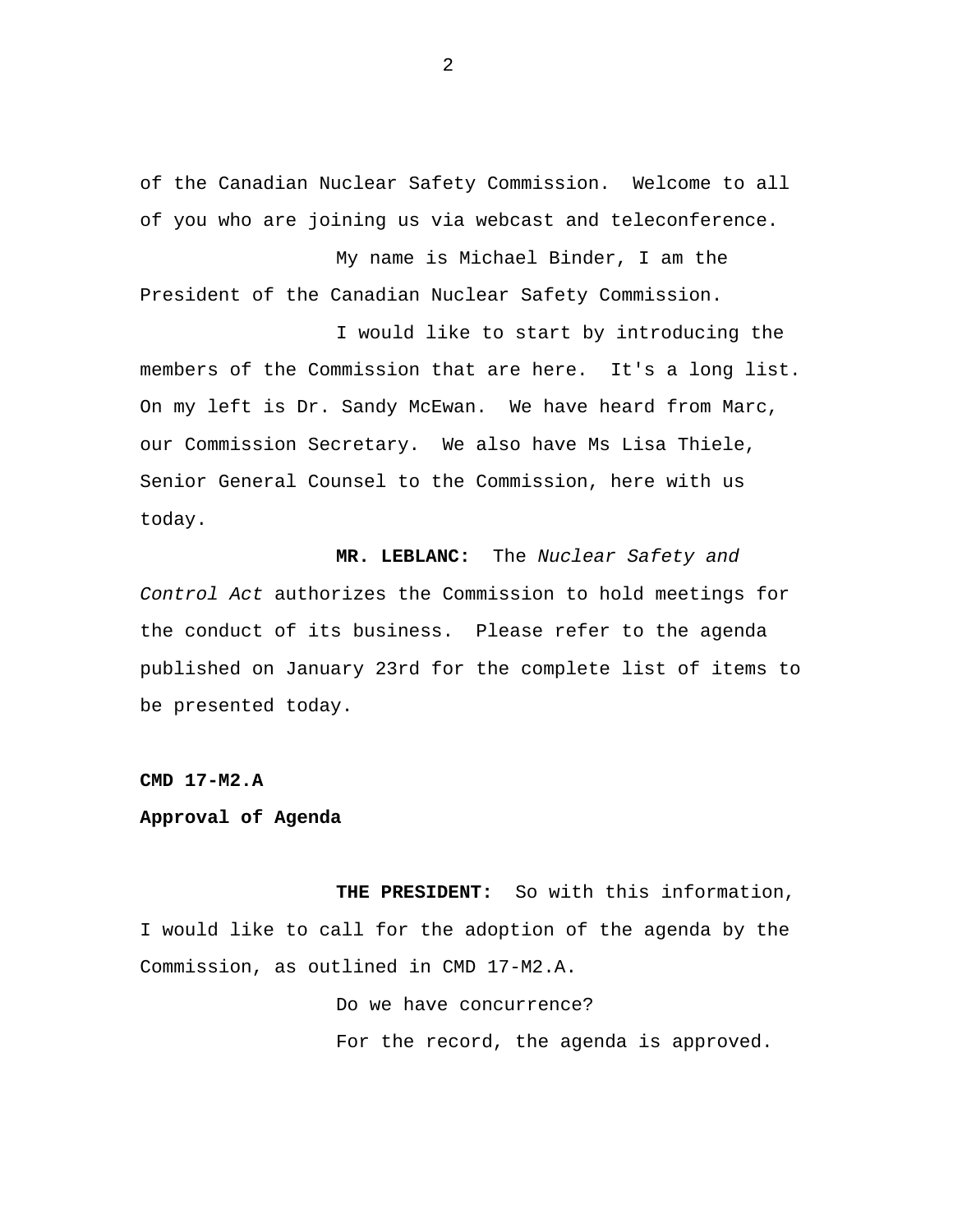of the Canadian Nuclear Safety Commission. Welcome to all of you who are joining us via webcast and teleconference.

My name is Michael Binder, I am the President of the Canadian Nuclear Safety Commission.

I would like to start by introducing the members of the Commission that are here. It's a long list. On my left is Dr. Sandy McEwan. We have heard from Marc, our Commission Secretary. We also have Ms Lisa Thiele, Senior General Counsel to the Commission, here with us today.

**MR. LEBLANC:** The *Nuclear Safety and Control Act* authorizes the Commission to hold meetings for the conduct of its business. Please refer to the agenda published on January 23rd for the complete list of items to be presented today.

**CMD 17-M2.A** 

## **Approval of Agenda**

**THE PRESIDENT:** So with this information, I would like to call for the adoption of the agenda by the Commission, as outlined in CMD 17-M2.A.

> Do we have concurrence? For the record, the agenda is approved.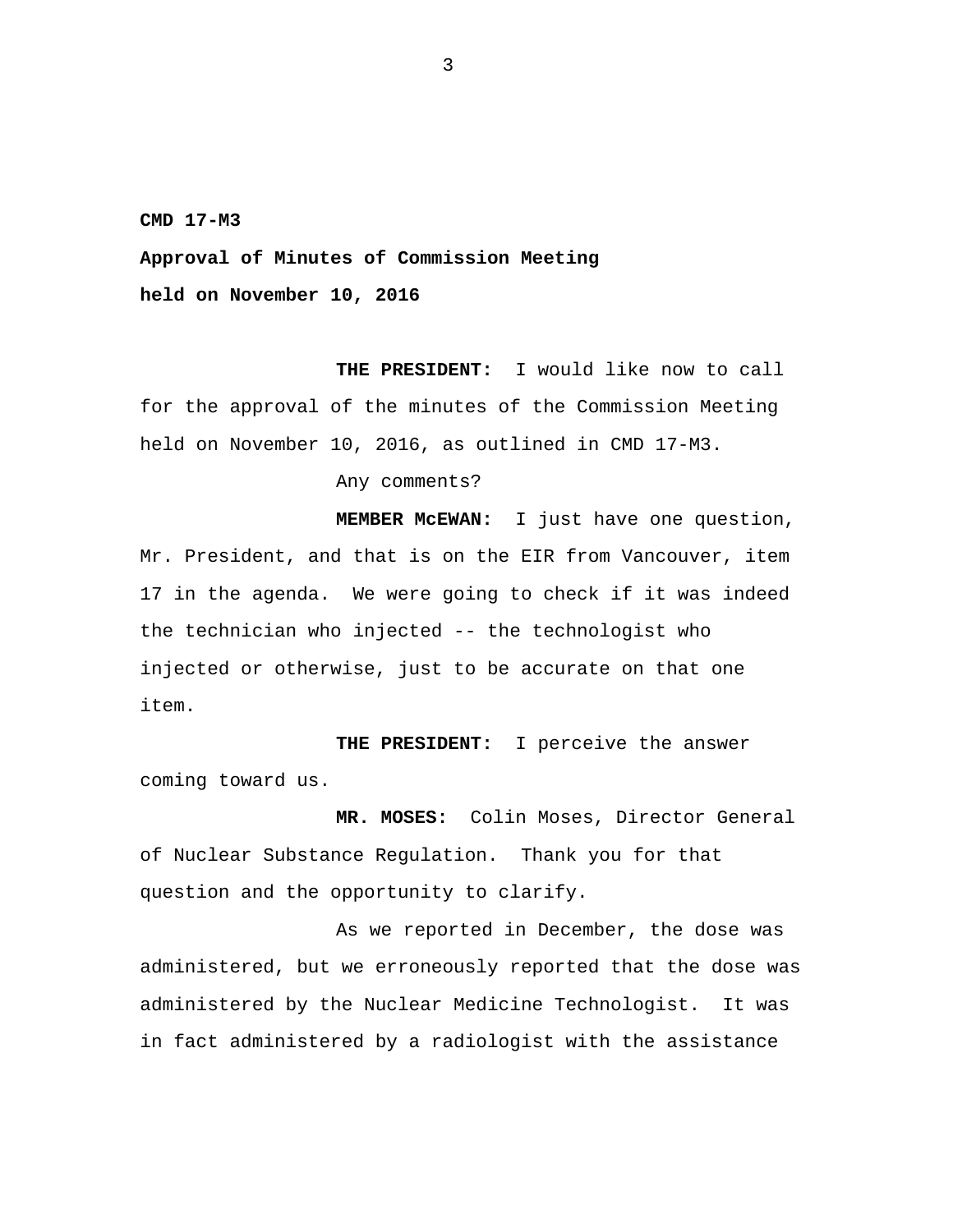**CMD 17-M3** 

**Approval of Minutes of Commission Meeting** 

**held on November 10, 2016** 

**THE PRESIDENT:** I would like now to call for the approval of the minutes of the Commission Meeting held on November 10, 2016, as outlined in CMD 17-M3.

Any comments?

**MEMBER McEWAN:** I just have one question, Mr. President, and that is on the EIR from Vancouver, item 17 in the agenda. We were going to check if it was indeed the technician who injected -- the technologist who injected or otherwise, just to be accurate on that one item.

**THE PRESIDENT:** I perceive the answer coming toward us.

**MR. MOSES:** Colin Moses, Director General of Nuclear Substance Regulation. Thank you for that question and the opportunity to clarify.

As we reported in December, the dose was administered, but we erroneously reported that the dose was administered by the Nuclear Medicine Technologist. It was in fact administered by a radiologist with the assistance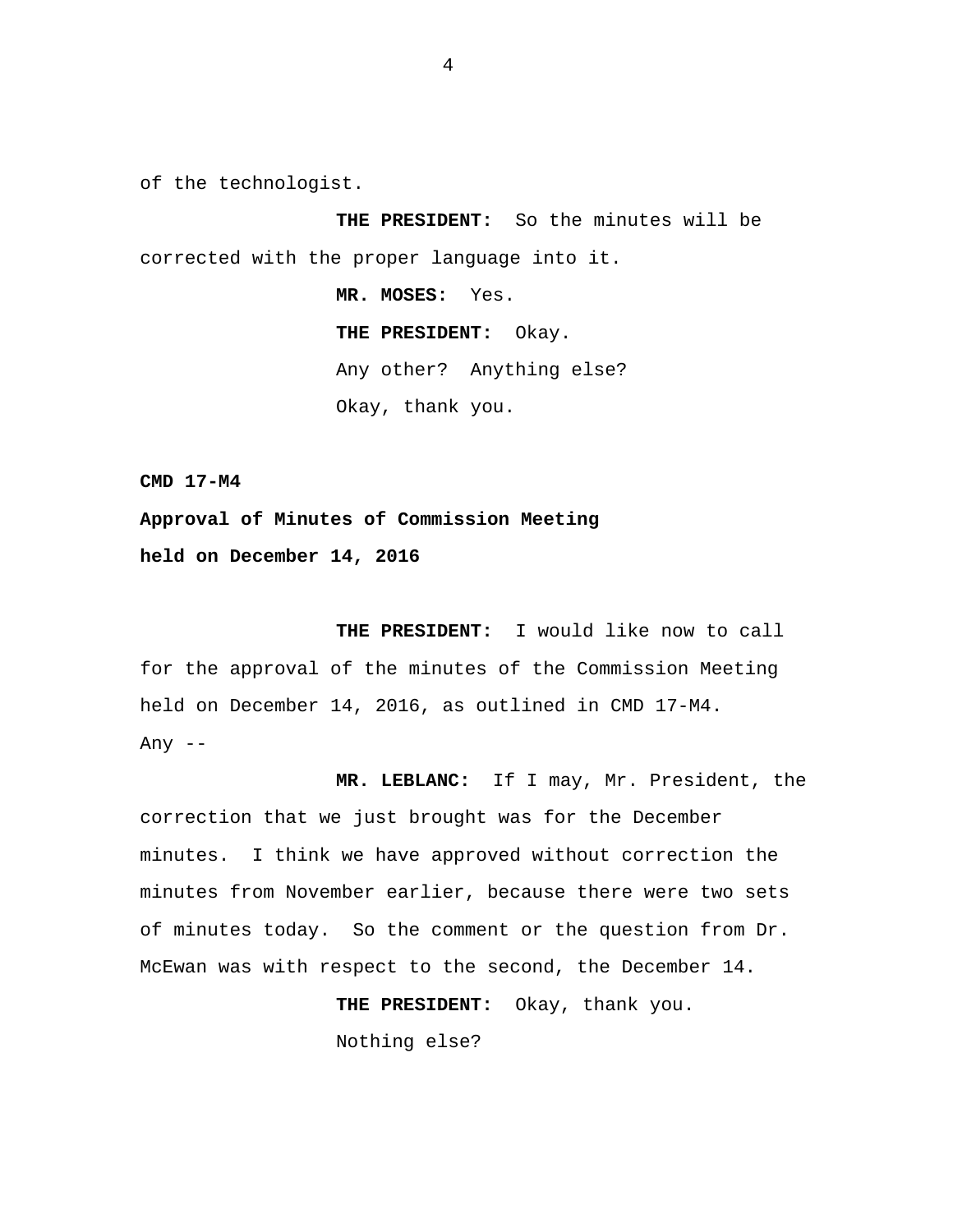of the technologist.

**THE PRESIDENT:** So the minutes will be corrected with the proper language into it.

> **MR. MOSES:** Yes. **THE PRESIDENT:** Okay. Any other? Anything else? Okay, thank you.

**CMD 17-M4** 

**Approval of Minutes of Commission Meeting held on December 14, 2016** 

**THE PRESIDENT:** I would like now to call for the approval of the minutes of the Commission Meeting held on December 14, 2016, as outlined in CMD 17-M4. Any  $--$ 

**MR. LEBLANC:** If I may, Mr. President, the correction that we just brought was for the December minutes. I think we have approved without correction the minutes from November earlier, because there were two sets of minutes today. So the comment or the question from Dr. McEwan was with respect to the second, the December 14.

**THE PRESIDENT:** Okay, thank you.

Nothing else?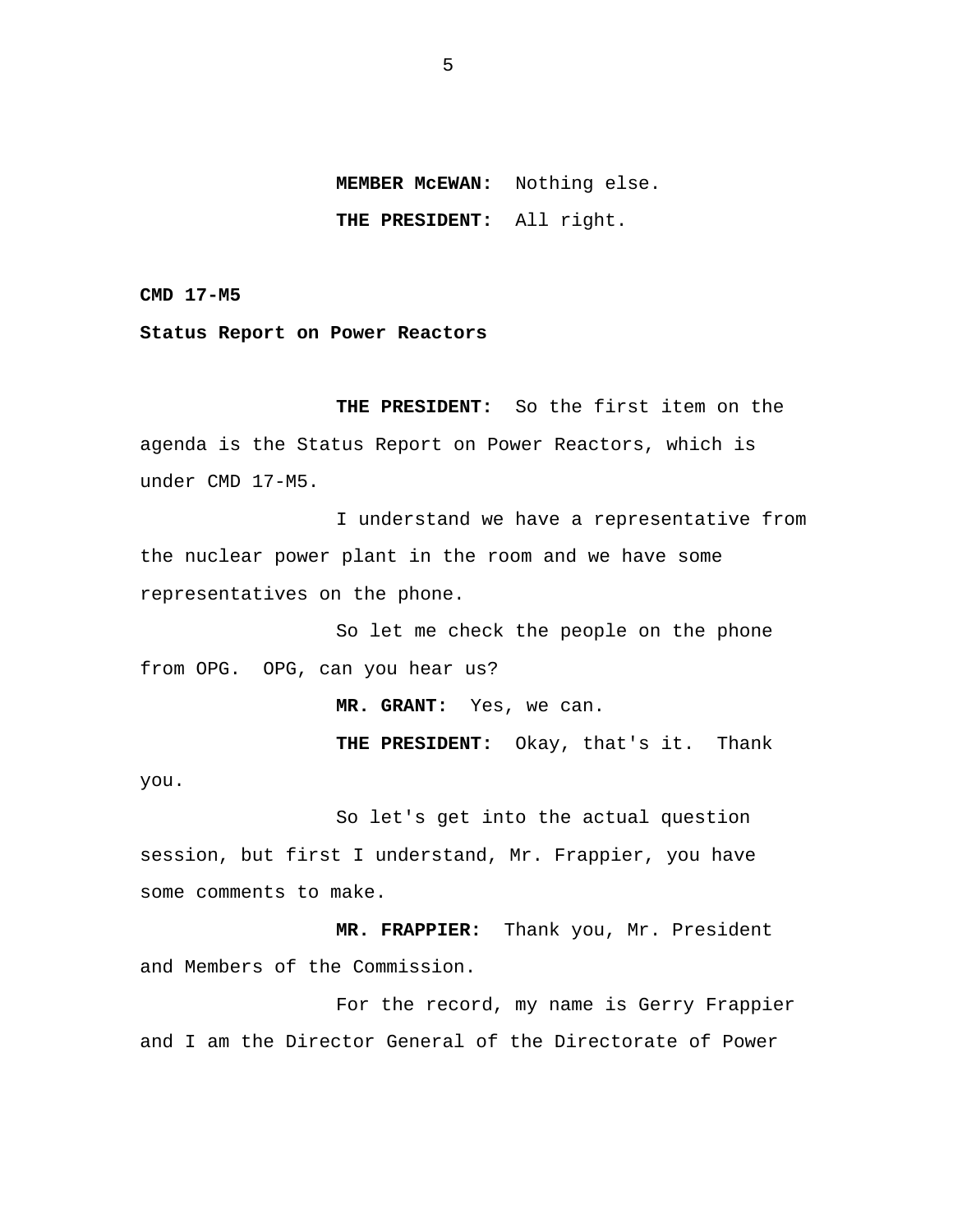**MEMBER McEWAN:** Nothing else. **THE PRESIDENT:** All right.

**CMD 17-M5** 

**Status Report on Power Reactors** 

**THE PRESIDENT:** So the first item on the agenda is the Status Report on Power Reactors, which is under CMD 17-M5.

I understand we have a representative from the nuclear power plant in the room and we have some representatives on the phone.

So let me check the people on the phone from OPG. OPG, can you hear us?

**MR. GRANT:** Yes, we can.

**THE PRESIDENT:** Okay, that's it. Thank

you.

So let's get into the actual question session, but first I understand, Mr. Frappier, you have some comments to make.

**MR. FRAPPIER:** Thank you, Mr. President and Members of the Commission.

For the record, my name is Gerry Frappier and I am the Director General of the Directorate of Power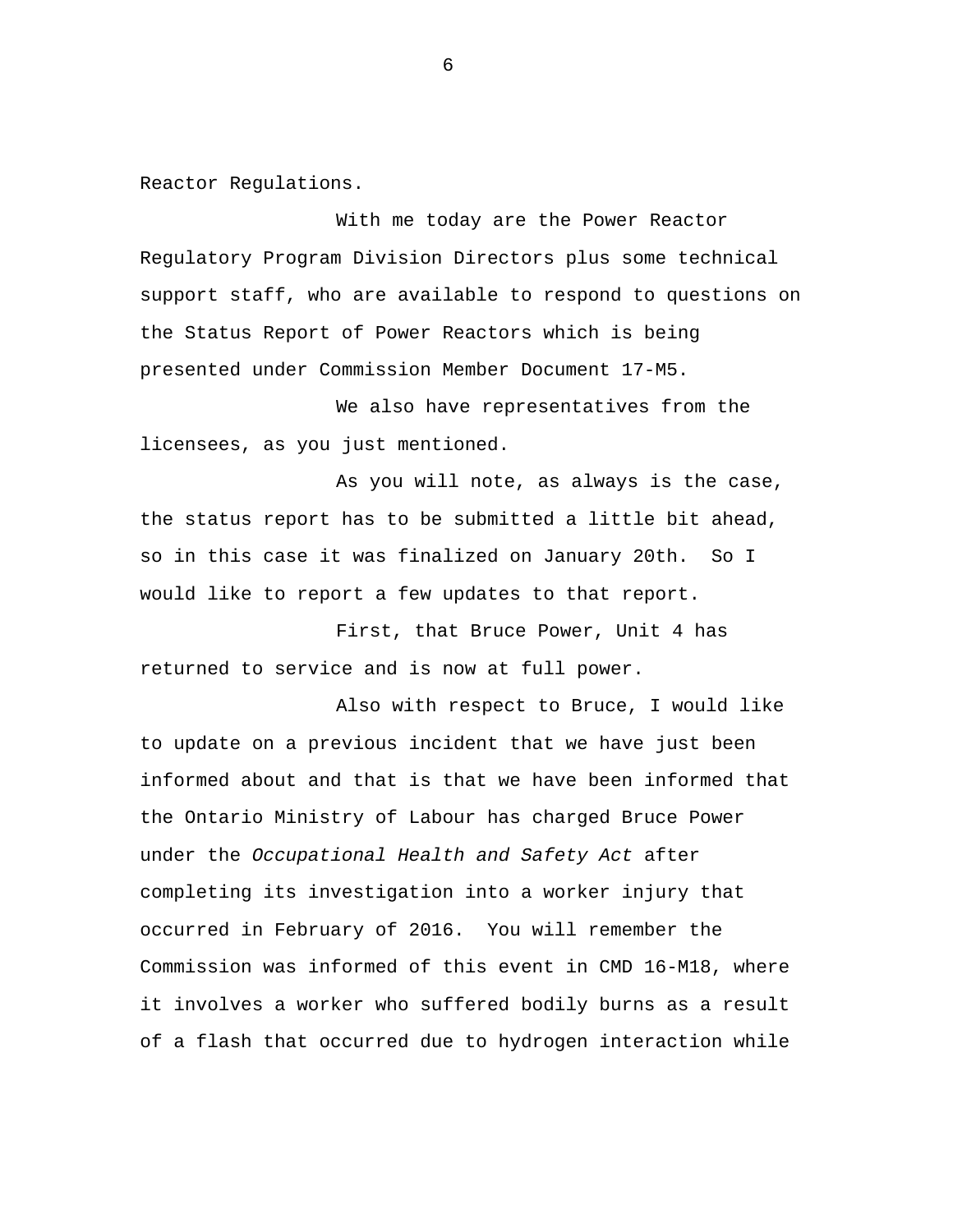Reactor Regulations.

With me today are the Power Reactor Regulatory Program Division Directors plus some technical support staff, who are available to respond to questions on the Status Report of Power Reactors which is being presented under Commission Member Document 17-M5.

We also have representatives from the licensees, as you just mentioned.

As you will note, as always is the case, the status report has to be submitted a little bit ahead, so in this case it was finalized on January 20th. So I would like to report a few updates to that report.

First, that Bruce Power, Unit 4 has returned to service and is now at full power.

Also with respect to Bruce, I would like to update on a previous incident that we have just been informed about and that is that we have been informed that the Ontario Ministry of Labour has charged Bruce Power under the *Occupational Health and Safety Act* after completing its investigation into a worker injury that occurred in February of 2016. You will remember the Commission was informed of this event in CMD 16-M18, where it involves a worker who suffered bodily burns as a result of a flash that occurred due to hydrogen interaction while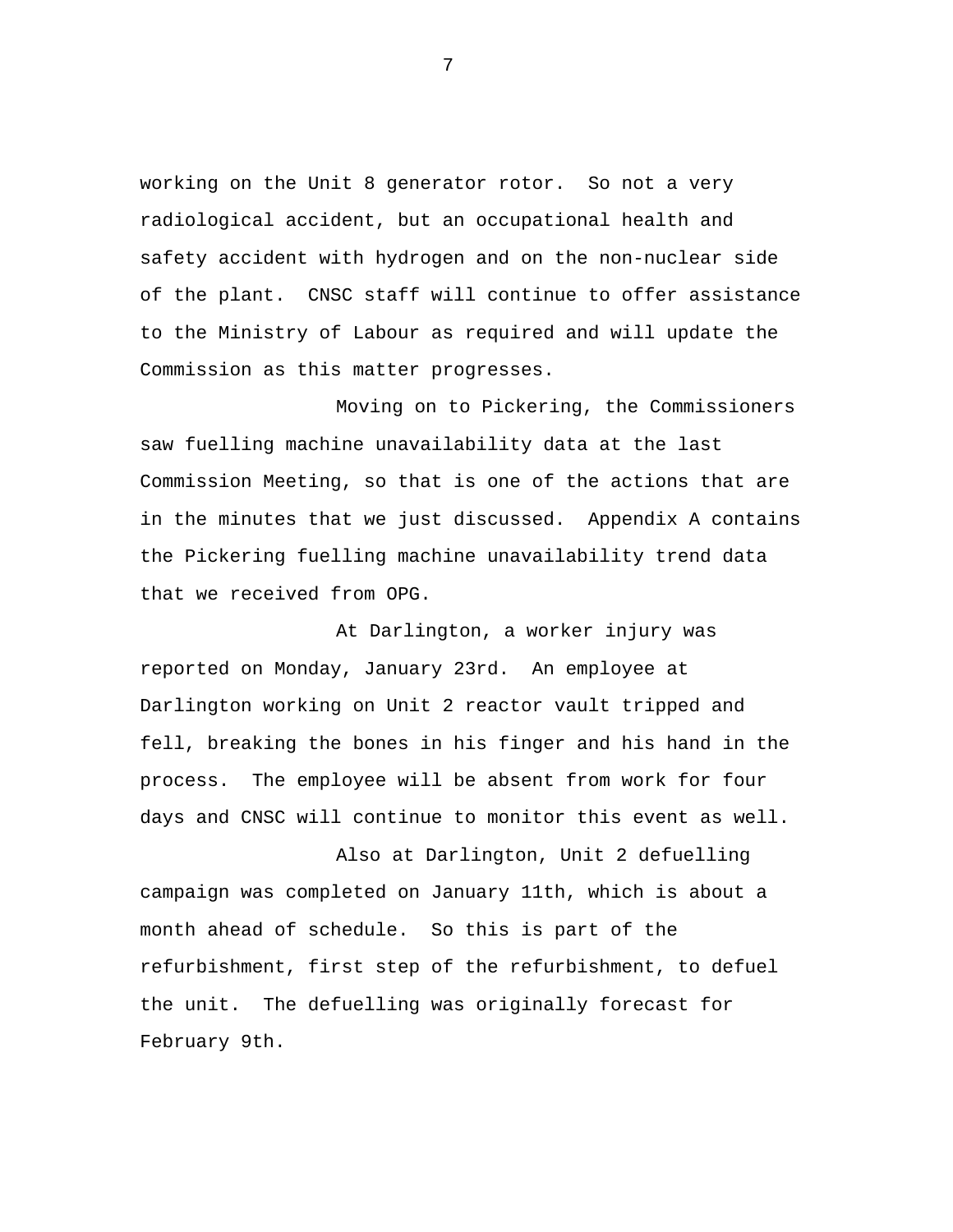working on the Unit 8 generator rotor. So not a very radiological accident, but an occupational health and safety accident with hydrogen and on the non-nuclear side of the plant. CNSC staff will continue to offer assistance to the Ministry of Labour as required and will update the Commission as this matter progresses.

Moving on to Pickering, the Commissioners saw fuelling machine unavailability data at the last Commission Meeting, so that is one of the actions that are in the minutes that we just discussed. Appendix A contains the Pickering fuelling machine unavailability trend data that we received from OPG.

At Darlington, a worker injury was reported on Monday, January 23rd. An employee at Darlington working on Unit 2 reactor vault tripped and fell, breaking the bones in his finger and his hand in the process. The employee will be absent from work for four days and CNSC will continue to monitor this event as well.

Also at Darlington, Unit 2 defuelling campaign was completed on January 11th, which is about a month ahead of schedule. So this is part of the refurbishment, first step of the refurbishment, to defuel the unit. The defuelling was originally forecast for February 9th.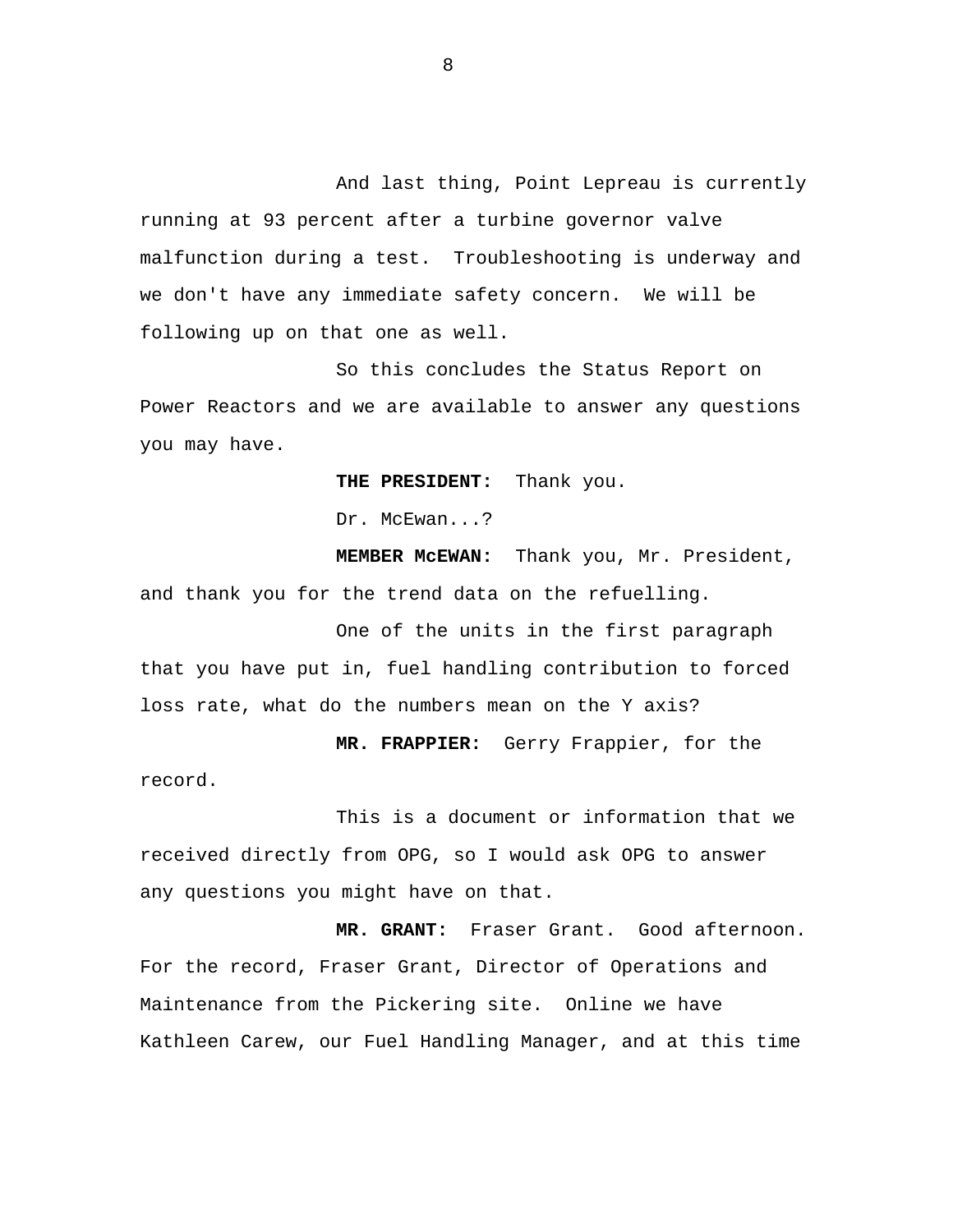And last thing, Point Lepreau is currently running at 93 percent after a turbine governor valve malfunction during a test. Troubleshooting is underway and we don't have any immediate safety concern. We will be following up on that one as well.

So this concludes the Status Report on Power Reactors and we are available to answer any questions you may have.

**THE PRESIDENT:** Thank you.

Dr. McEwan...?

**MEMBER McEWAN:** Thank you, Mr. President, and thank you for the trend data on the refuelling.

One of the units in the first paragraph that you have put in, fuel handling contribution to forced loss rate, what do the numbers mean on the Y axis?

**MR. FRAPPIER:** Gerry Frappier, for the record.

This is a document or information that we received directly from OPG, so I would ask OPG to answer any questions you might have on that.

**MR. GRANT:** Fraser Grant. Good afternoon. For the record, Fraser Grant, Director of Operations and Maintenance from the Pickering site. Online we have Kathleen Carew, our Fuel Handling Manager, and at this time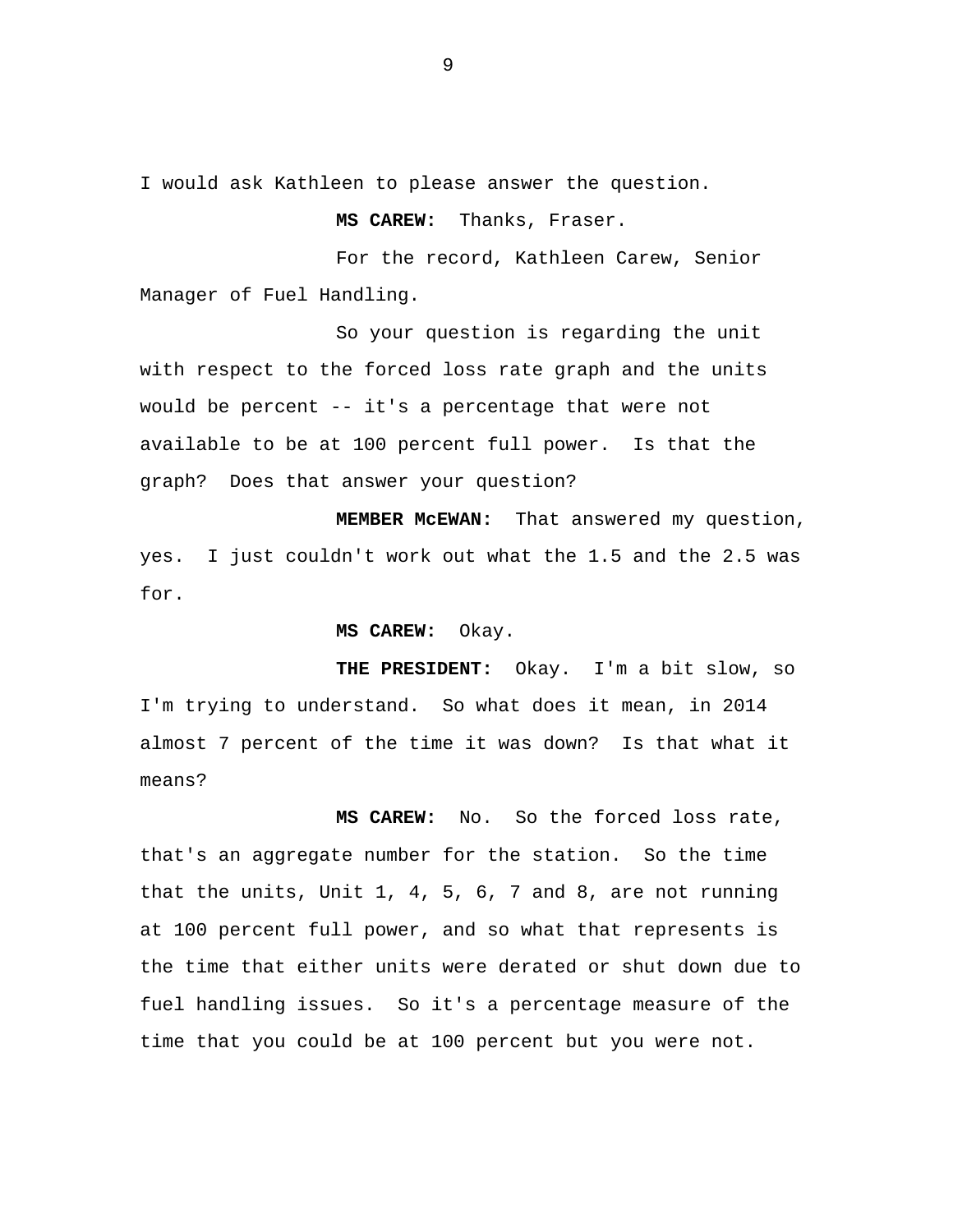I would ask Kathleen to please answer the question.

**MS CAREW:** Thanks, Fraser.

For the record, Kathleen Carew, Senior Manager of Fuel Handling.

So your question is regarding the unit with respect to the forced loss rate graph and the units would be percent -- it's a percentage that were not available to be at 100 percent full power. Is that the graph? Does that answer your question?

**MEMBER McEWAN:** That answered my question, yes. I just couldn't work out what the 1.5 and the 2.5 was for.

#### **MS CAREW:** Okay.

**THE PRESIDENT:** Okay. I'm a bit slow, so I'm trying to understand. So what does it mean, in 2014 almost 7 percent of the time it was down? Is that what it means?

**MS CAREW:** No. So the forced loss rate, that's an aggregate number for the station. So the time that the units, Unit 1, 4, 5, 6, 7 and 8, are not running at 100 percent full power, and so what that represents is the time that either units were derated or shut down due to fuel handling issues. So it's a percentage measure of the time that you could be at 100 percent but you were not.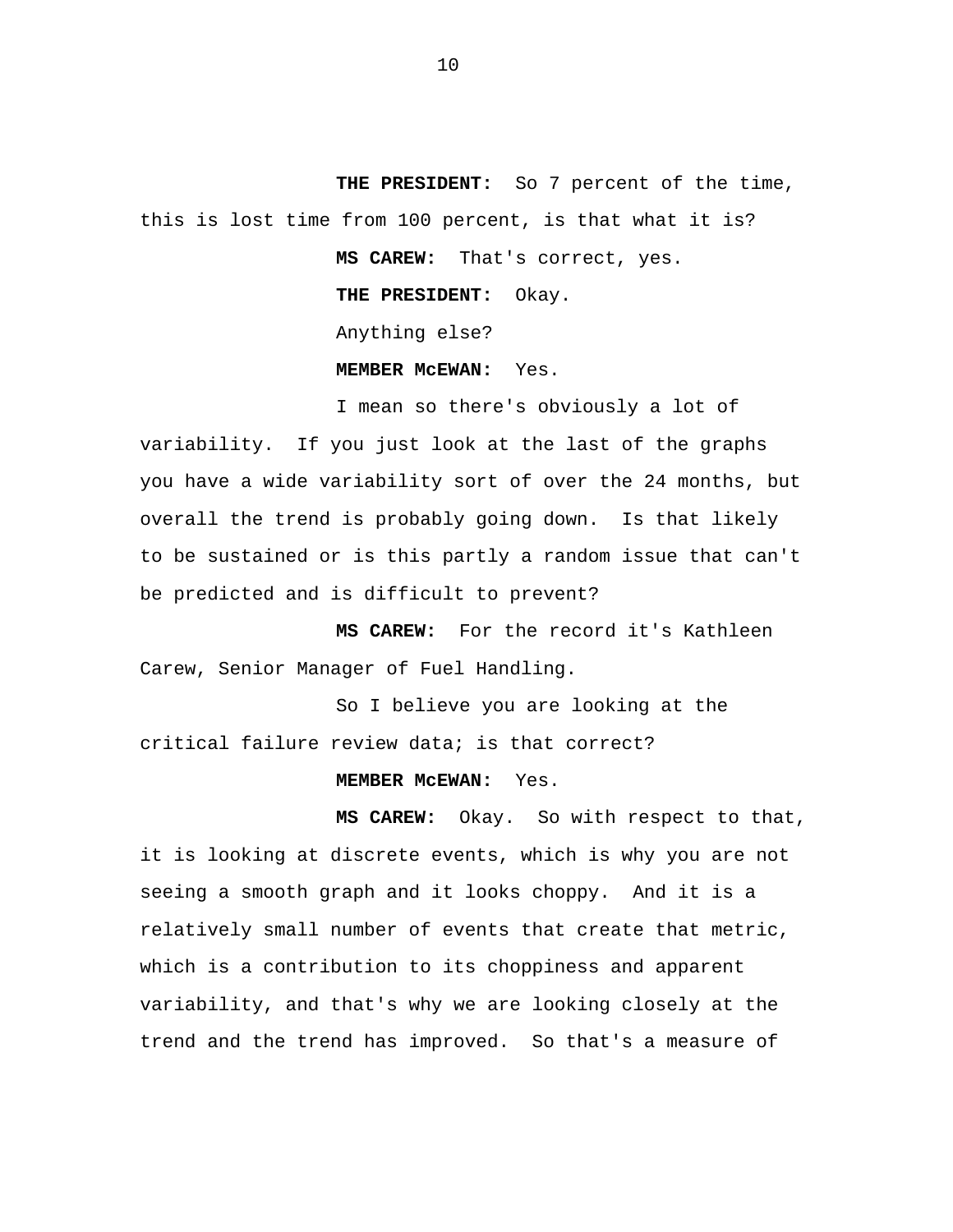**THE PRESIDENT:** So 7 percent of the time, this is lost time from 100 percent, is that what it is?

**MS CAREW:** That's correct, yes.

**THE PRESIDENT:** Okay.

Anything else?

**MEMBER McEWAN:** Yes.

I mean so there's obviously a lot of variability. If you just look at the last of the graphs you have a wide variability sort of over the 24 months, but overall the trend is probably going down. Is that likely to be sustained or is this partly a random issue that can't be predicted and is difficult to prevent?

**MS CAREW:** For the record it's Kathleen Carew, Senior Manager of Fuel Handling.

So I believe you are looking at the critical failure review data; is that correct?

## **MEMBER McEWAN:** Yes.

**MS CAREW:** Okay. So with respect to that, it is looking at discrete events, which is why you are not seeing a smooth graph and it looks choppy. And it is a relatively small number of events that create that metric, which is a contribution to its choppiness and apparent variability, and that's why we are looking closely at the trend and the trend has improved. So that's a measure of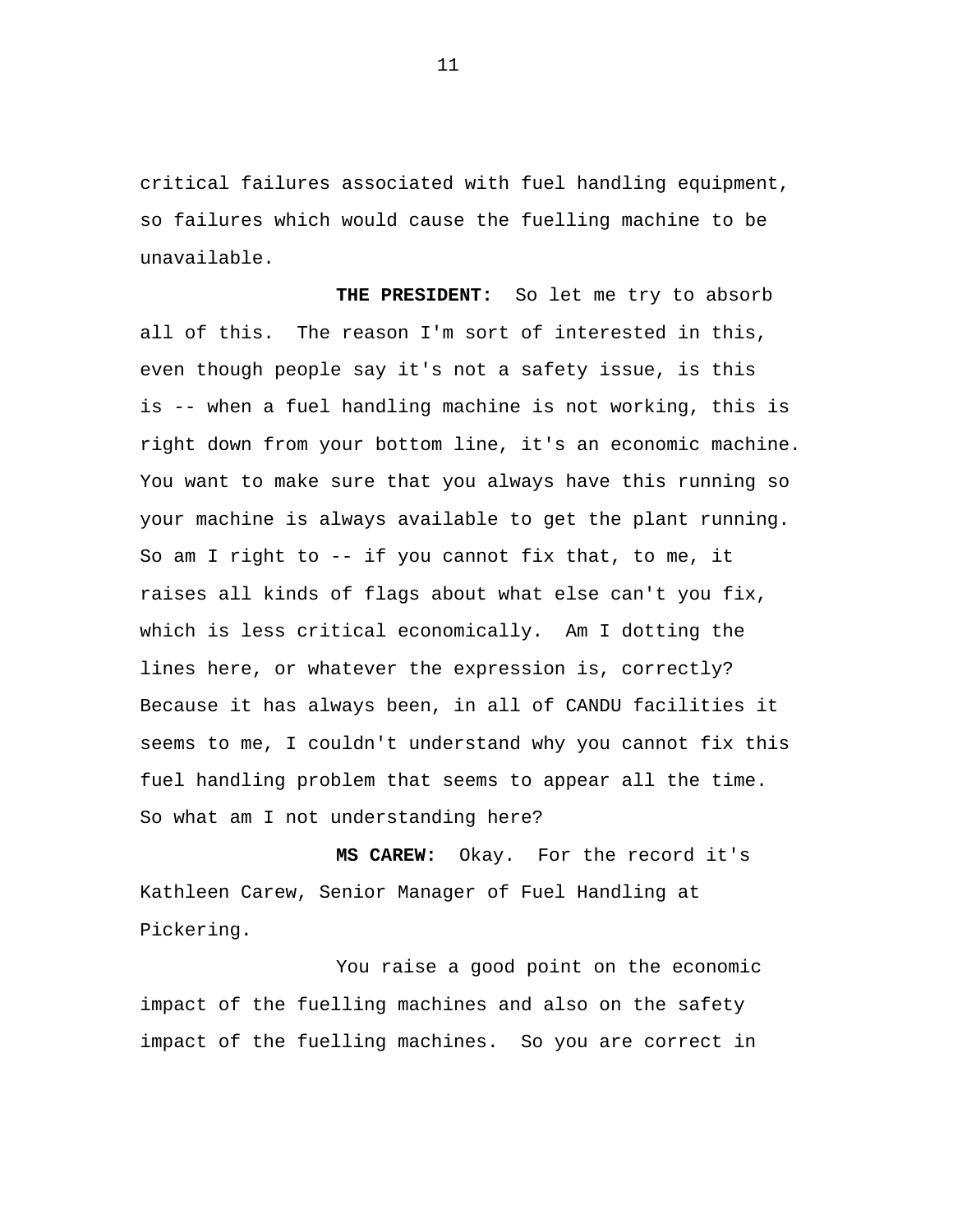critical failures associated with fuel handling equipment, so failures which would cause the fuelling machine to be unavailable.

**THE PRESIDENT:** So let me try to absorb all of this. The reason I'm sort of interested in this, even though people say it's not a safety issue, is this is -- when a fuel handling machine is not working, this is right down from your bottom line, it's an economic machine. You want to make sure that you always have this running so your machine is always available to get the plant running. So am I right to -- if you cannot fix that, to me, it raises all kinds of flags about what else can't you fix, which is less critical economically. Am I dotting the lines here, or whatever the expression is, correctly? Because it has always been, in all of CANDU facilities it seems to me, I couldn't understand why you cannot fix this fuel handling problem that seems to appear all the time. So what am I not understanding here?

**MS CAREW:** Okay. For the record it's Kathleen Carew, Senior Manager of Fuel Handling at Pickering.

You raise a good point on the economic impact of the fuelling machines and also on the safety impact of the fuelling machines. So you are correct in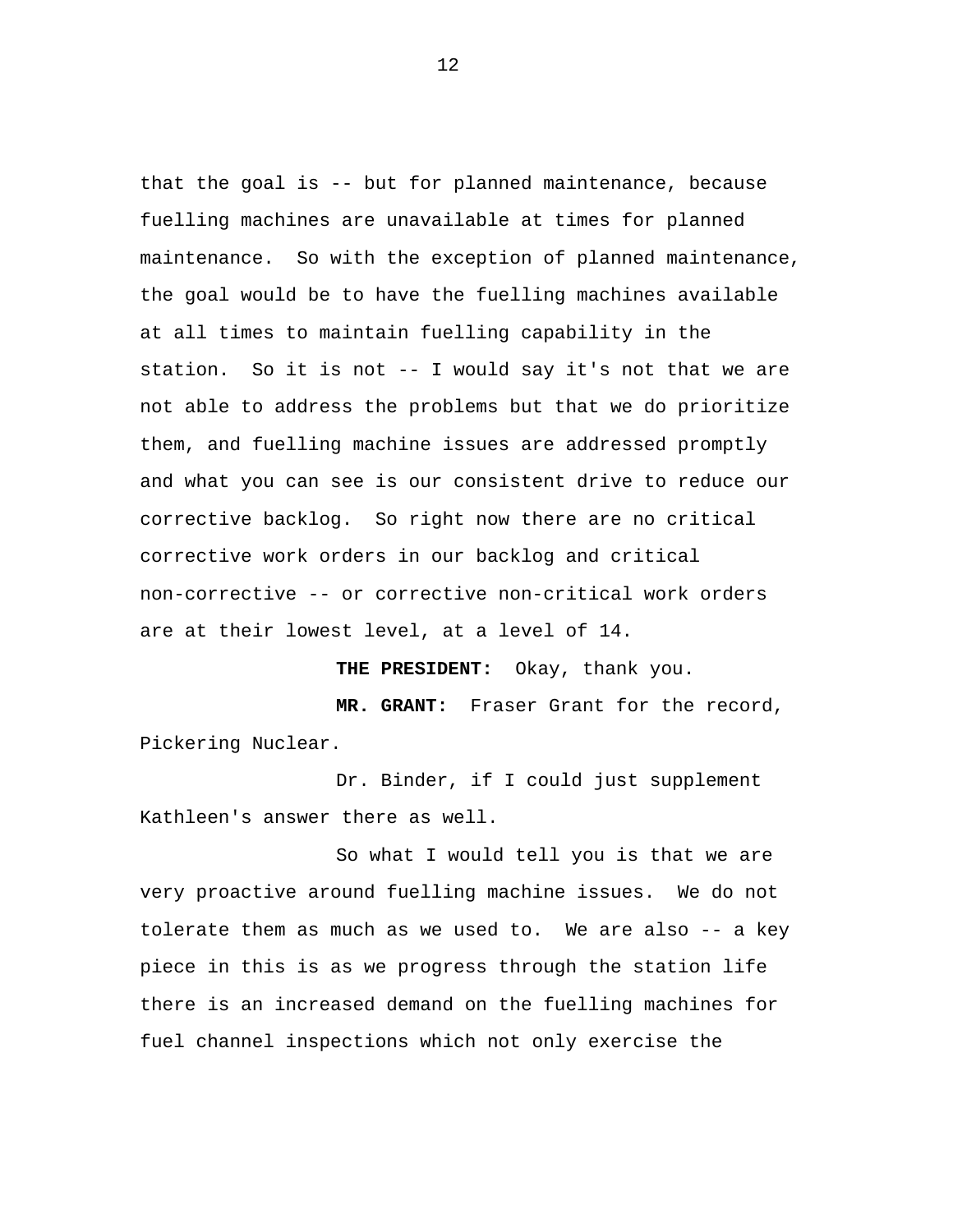that the goal is -- but for planned maintenance, because fuelling machines are unavailable at times for planned maintenance. So with the exception of planned maintenance, the goal would be to have the fuelling machines available at all times to maintain fuelling capability in the station. So it is not -- I would say it's not that we are not able to address the problems but that we do prioritize them, and fuelling machine issues are addressed promptly and what you can see is our consistent drive to reduce our corrective backlog. So right now there are no critical corrective work orders in our backlog and critical non-corrective -- or corrective non-critical work orders are at their lowest level, at a level of 14.

**THE PRESIDENT:** Okay, thank you.

**MR. GRANT:** Fraser Grant for the record, Pickering Nuclear.

Dr. Binder, if I could just supplement Kathleen's answer there as well.

So what I would tell you is that we are very proactive around fuelling machine issues. We do not tolerate them as much as we used to. We are also -- a key piece in this is as we progress through the station life there is an increased demand on the fuelling machines for fuel channel inspections which not only exercise the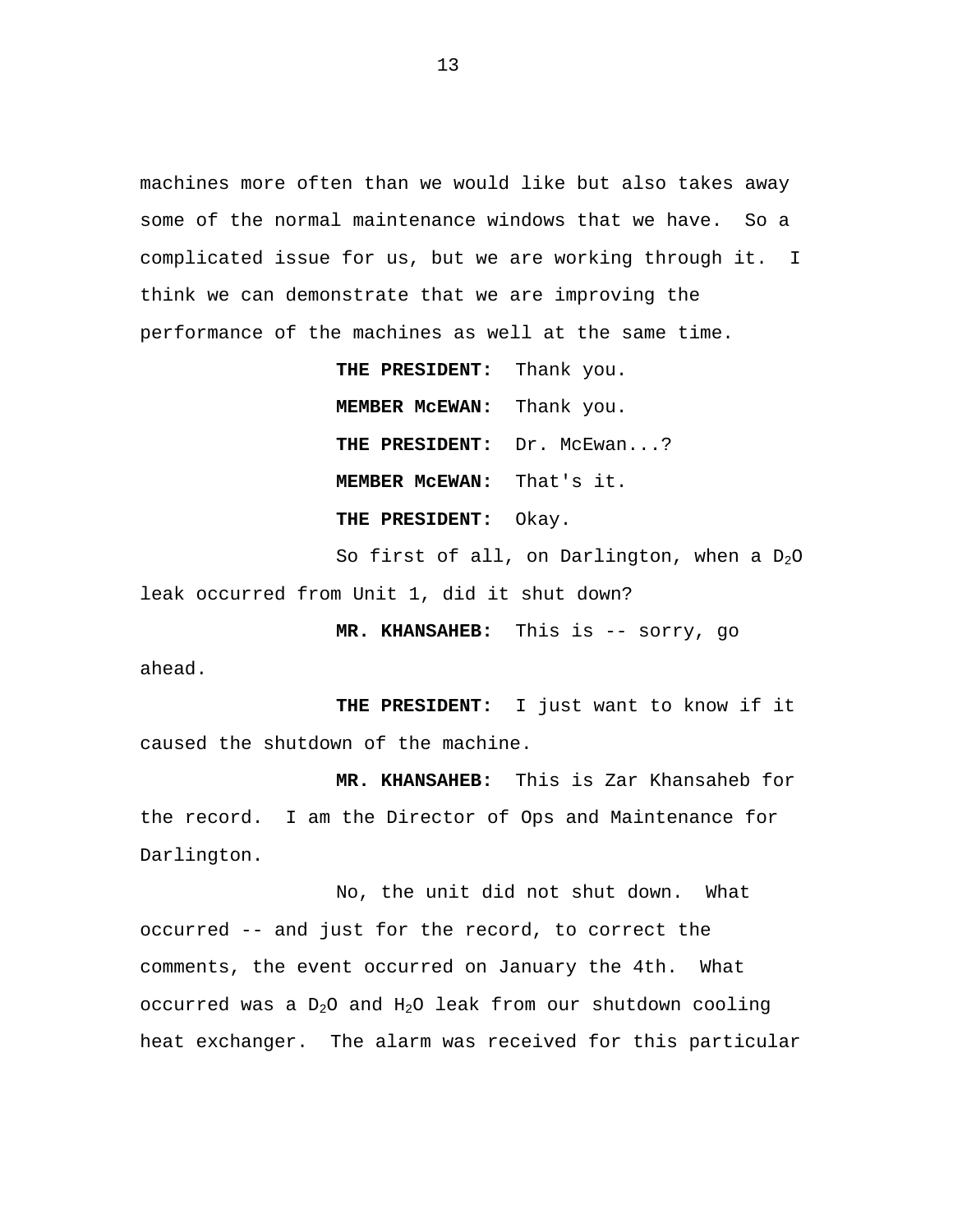machines more often than we would like but also takes away some of the normal maintenance windows that we have. So a complicated issue for us, but we are working through it. I think we can demonstrate that we are improving the performance of the machines as well at the same time.

> **THE PRESIDENT:** Thank you. **MEMBER McEWAN:** Thank you. **THE PRESIDENT:** Dr. McEwan...? **MEMBER McEWAN:** That's it. **THE PRESIDENT:** Okay.

So first of all, on Darlington, when a  $D_2O$ leak occurred from Unit 1, did it shut down?

**MR. KHANSAHEB:** This is -- sorry, go

ahead.

**THE PRESIDENT:** I just want to know if it caused the shutdown of the machine.

**MR. KHANSAHEB:** This is Zar Khansaheb for the record. I am the Director of Ops and Maintenance for Darlington.

No, the unit did not shut down. What occurred -- and just for the record, to correct the comments, the event occurred on January the 4th. What occurred was a  $D_2O$  and  $H_2O$  leak from our shutdown cooling heat exchanger. The alarm was received for this particular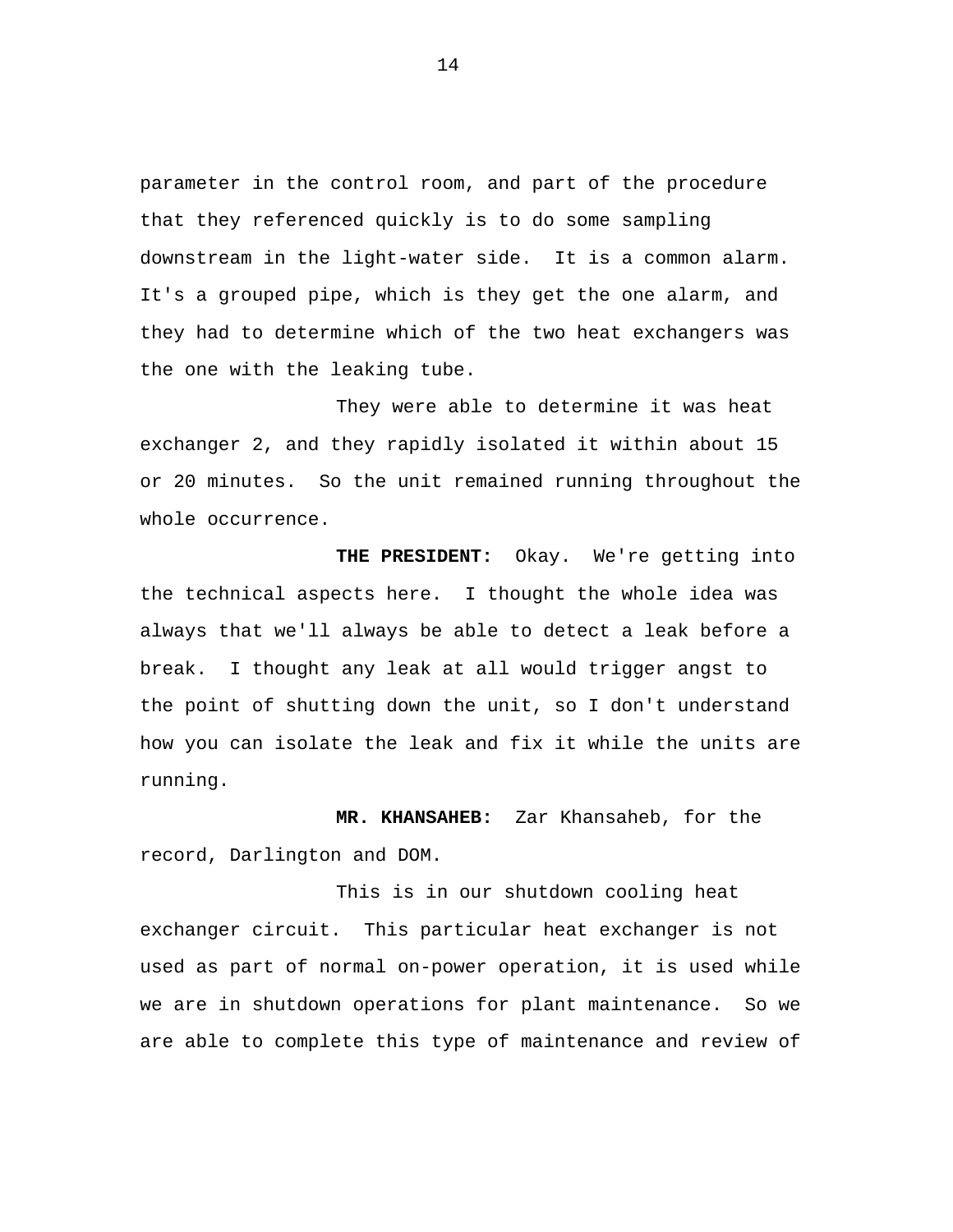parameter in the control room, and part of the procedure that they referenced quickly is to do some sampling downstream in the light-water side. It is a common alarm. It's a grouped pipe, which is they get the one alarm, and they had to determine which of the two heat exchangers was the one with the leaking tube.

They were able to determine it was heat exchanger 2, and they rapidly isolated it within about 15 or 20 minutes. So the unit remained running throughout the whole occurrence.

**THE PRESIDENT:** Okay. We're getting into the technical aspects here. I thought the whole idea was always that we'll always be able to detect a leak before a break. I thought any leak at all would trigger angst to the point of shutting down the unit, so I don't understand how you can isolate the leak and fix it while the units are running.

**MR. KHANSAHEB:** Zar Khansaheb, for the record, Darlington and DOM.

This is in our shutdown cooling heat exchanger circuit. This particular heat exchanger is not used as part of normal on-power operation, it is used while we are in shutdown operations for plant maintenance. So we are able to complete this type of maintenance and review of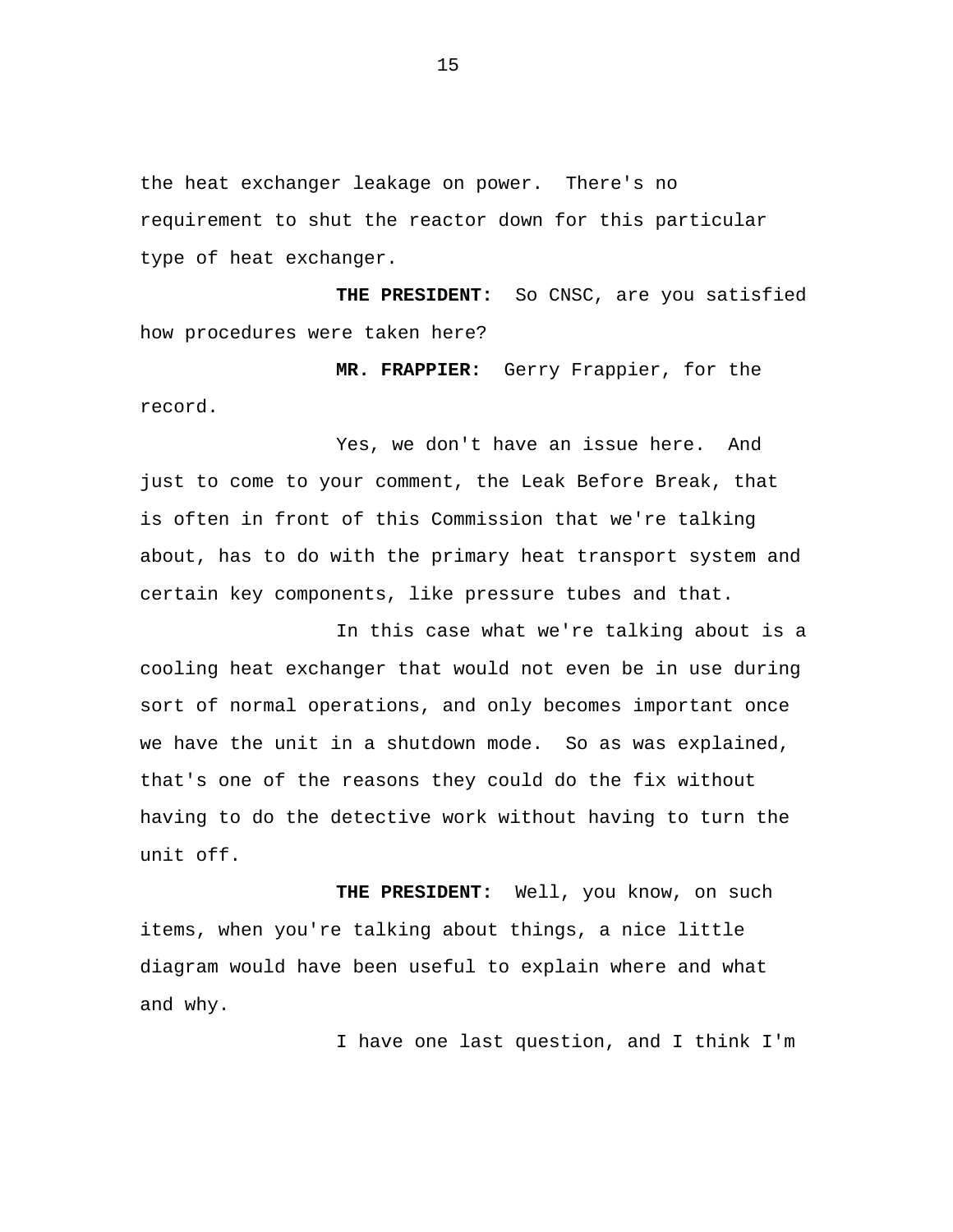the heat exchanger leakage on power. There's no requirement to shut the reactor down for this particular type of heat exchanger.

**THE PRESIDENT:** So CNSC, are you satisfied how procedures were taken here?

**MR. FRAPPIER:** Gerry Frappier, for the record.

Yes, we don't have an issue here. And just to come to your comment, the Leak Before Break, that is often in front of this Commission that we're talking about, has to do with the primary heat transport system and certain key components, like pressure tubes and that.

In this case what we're talking about is a cooling heat exchanger that would not even be in use during sort of normal operations, and only becomes important once we have the unit in a shutdown mode. So as was explained, that's one of the reasons they could do the fix without having to do the detective work without having to turn the unit off.

**THE PRESIDENT:** Well, you know, on such items, when you're talking about things, a nice little diagram would have been useful to explain where and what and why.

I have one last question, and I think I'm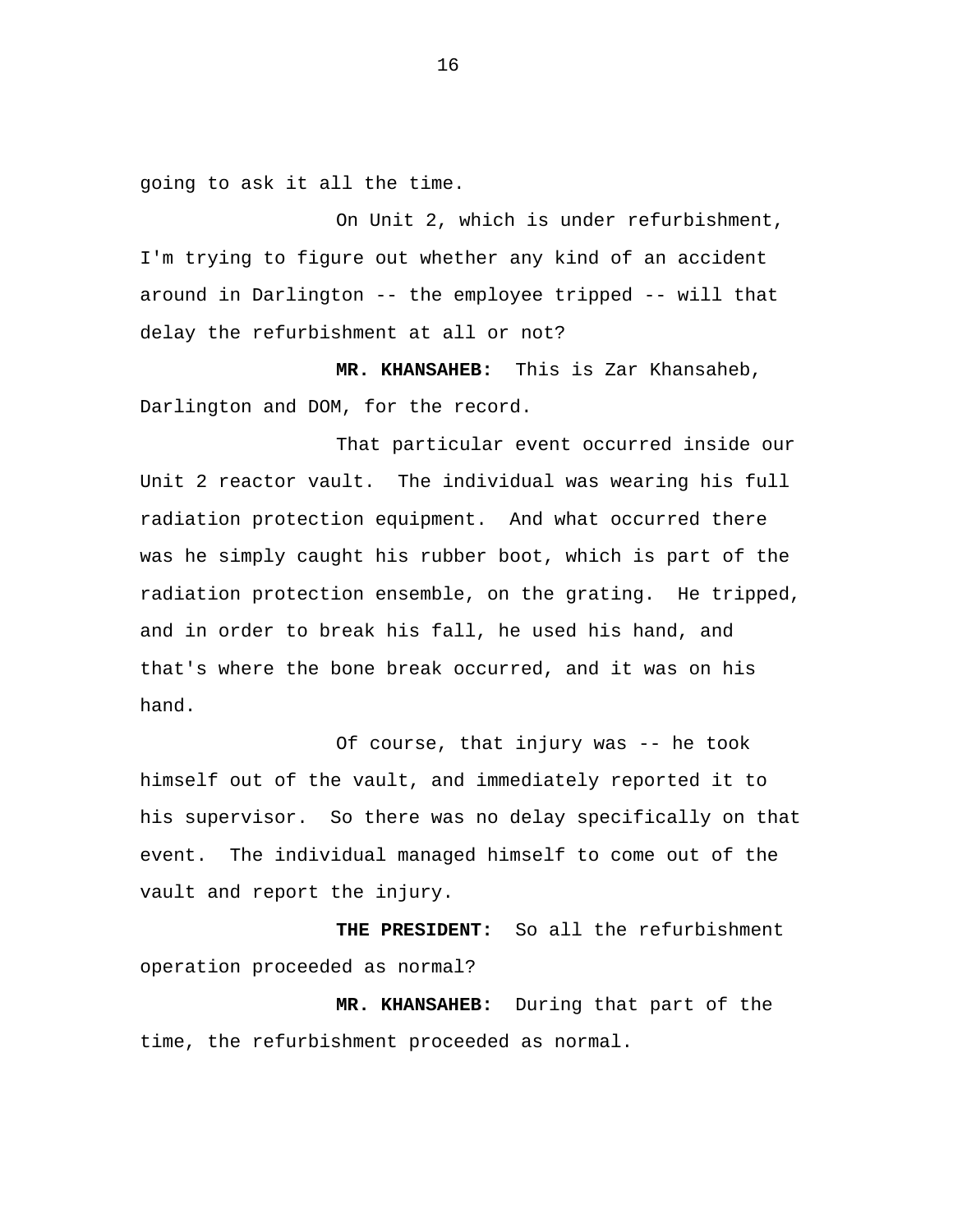going to ask it all the time.

On Unit 2, which is under refurbishment, I'm trying to figure out whether any kind of an accident around in Darlington -- the employee tripped -- will that delay the refurbishment at all or not?

**MR. KHANSAHEB:** This is Zar Khansaheb, Darlington and DOM, for the record.

That particular event occurred inside our Unit 2 reactor vault. The individual was wearing his full radiation protection equipment. And what occurred there was he simply caught his rubber boot, which is part of the radiation protection ensemble, on the grating. He tripped, and in order to break his fall, he used his hand, and that's where the bone break occurred, and it was on his hand.

Of course, that injury was -- he took himself out of the vault, and immediately reported it to his supervisor. So there was no delay specifically on that event. The individual managed himself to come out of the vault and report the injury.

**THE PRESIDENT:** So all the refurbishment operation proceeded as normal?

**MR. KHANSAHEB:** During that part of the time, the refurbishment proceeded as normal.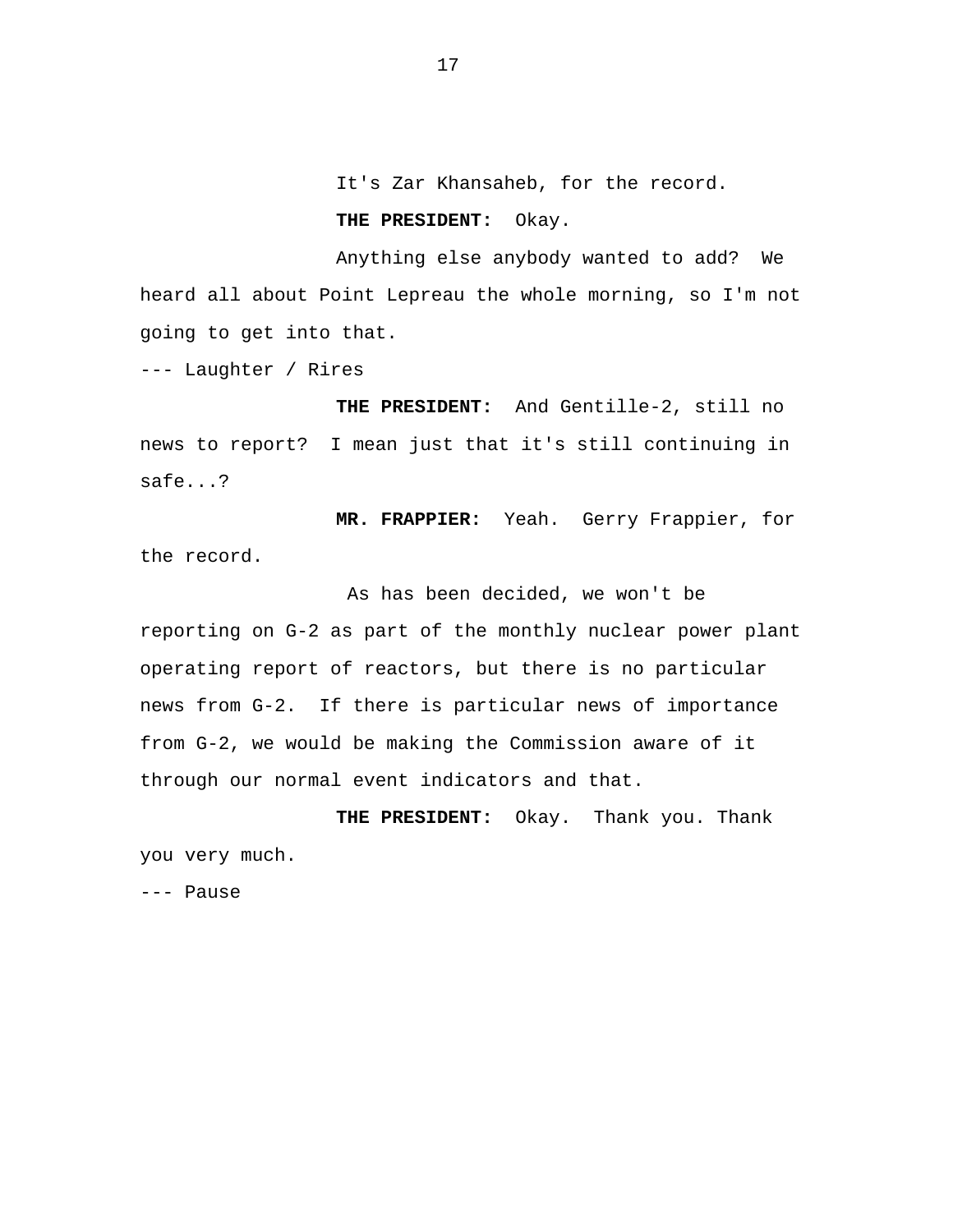It's Zar Khansaheb, for the record.

# **THE PRESIDENT:** Okay.

Anything else anybody wanted to add? We heard all about Point Lepreau the whole morning, so I'm not going to get into that.

--- Laughter / Rires

**THE PRESIDENT:** And Gentille-2, still no news to report? I mean just that it's still continuing in safe...?

**MR. FRAPPIER:** Yeah. Gerry Frappier, for the record.

As has been decided, we won't be reporting on G-2 as part of the monthly nuclear power plant operating report of reactors, but there is no particular news from G-2. If there is particular news of importance from G-2, we would be making the Commission aware of it through our normal event indicators and that.

**THE PRESIDENT:** Okay. Thank you. Thank you very much.

--- Pause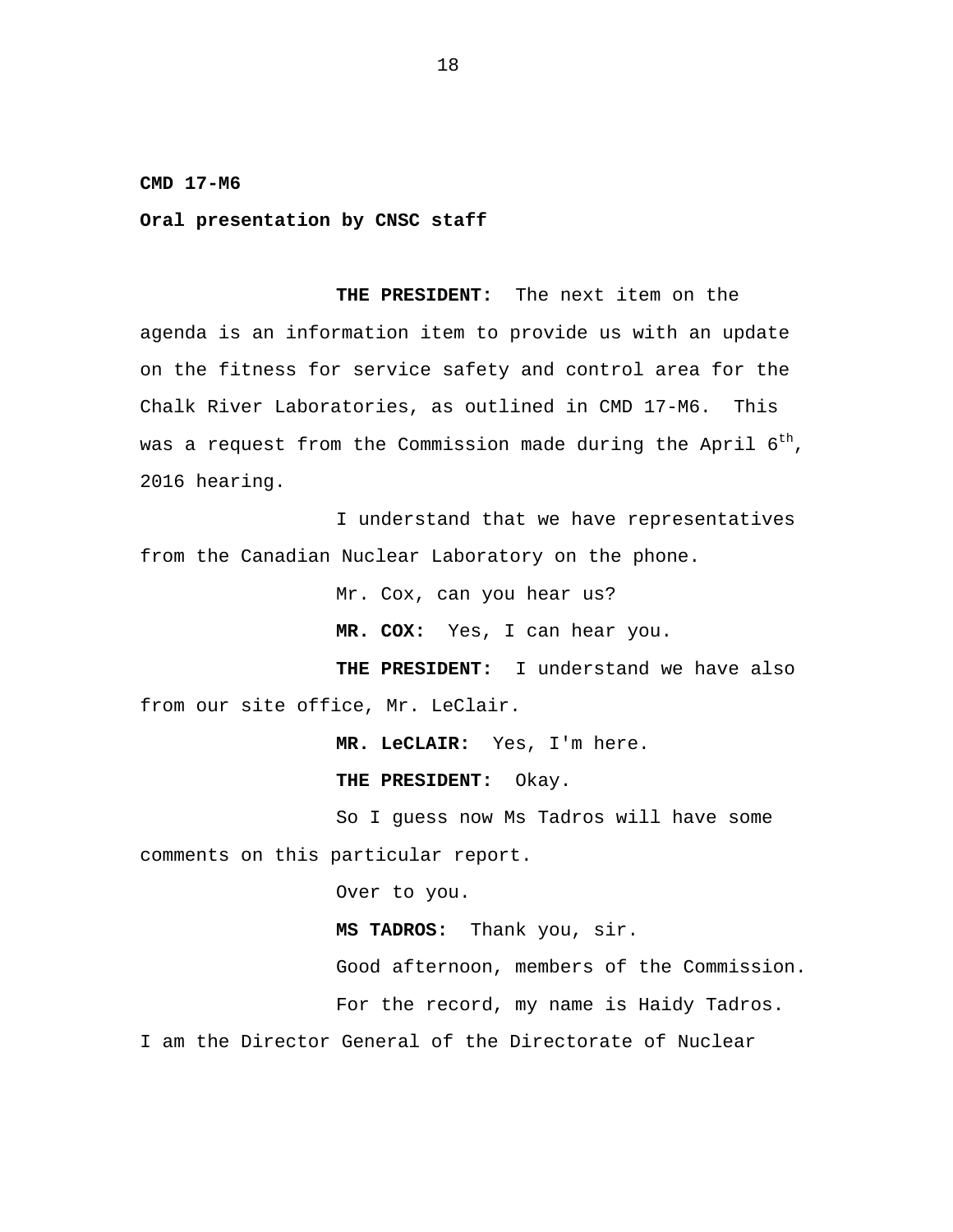#### **CMD 17-M6**

### **Oral presentation by CNSC staff**

**THE PRESIDENT:** The next item on the agenda is an information item to provide us with an update on the fitness for service safety and control area for the Chalk River Laboratories, as outlined in CMD 17-M6. This was a request from the Commission made during the April  $6^{th}$ , 2016 hearing.

I understand that we have representatives from the Canadian Nuclear Laboratory on the phone.

Mr. Cox, can you hear us?

**MR. COX:** Yes, I can hear you.

**THE PRESIDENT:** I understand we have also from our site office, Mr. LeClair.

**MR. LeCLAIR:** Yes, I'm here.

**THE PRESIDENT:** Okay.

So I guess now Ms Tadros will have some comments on this particular report.

Over to you.

**MS TADROS:** Thank you, sir.

Good afternoon, members of the Commission.

For the record, my name is Haidy Tadros.

I am the Director General of the Directorate of Nuclear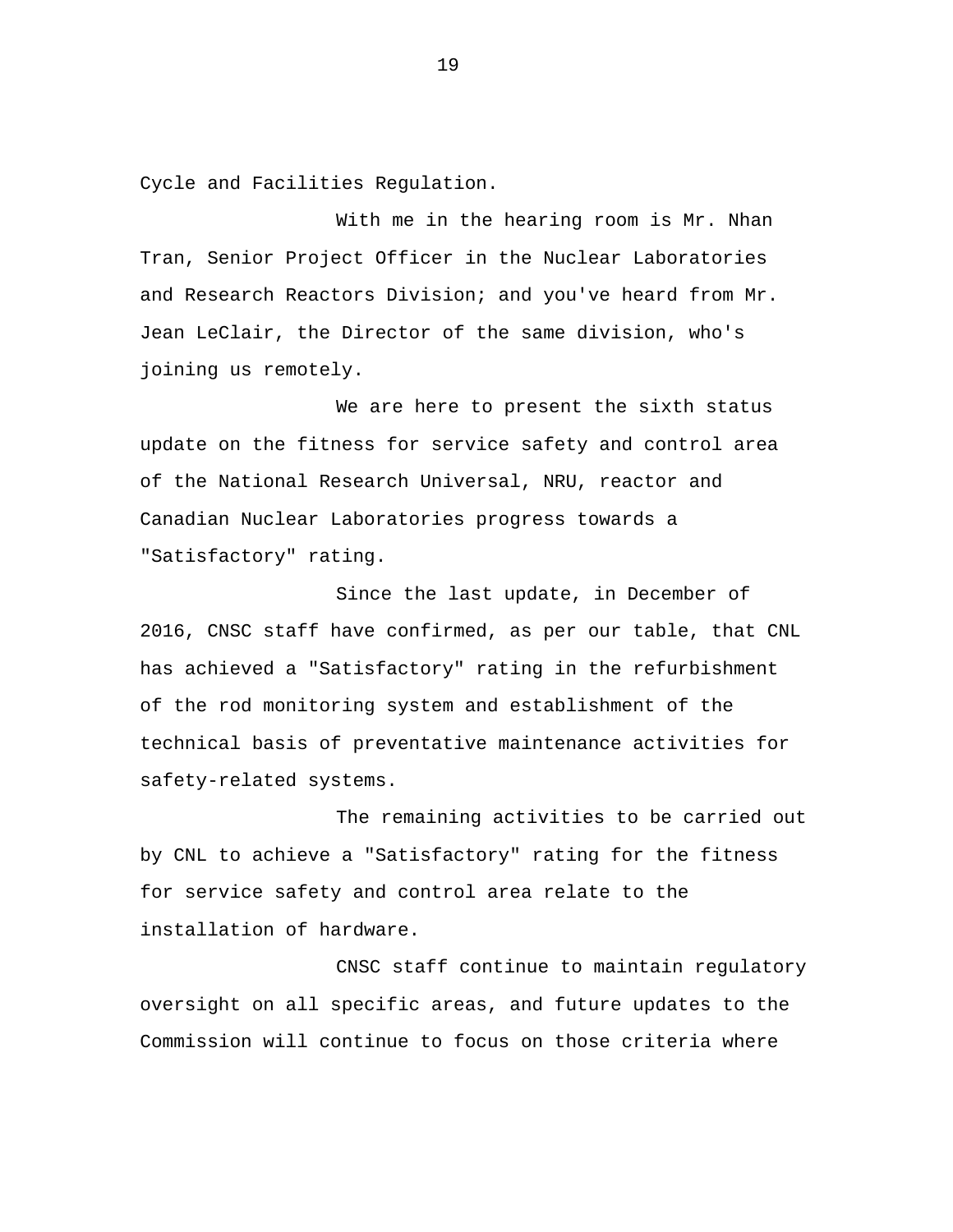Cycle and Facilities Regulation.

With me in the hearing room is Mr. Nhan Tran, Senior Project Officer in the Nuclear Laboratories and Research Reactors Division; and you've heard from Mr. Jean LeClair, the Director of the same division, who's joining us remotely.

We are here to present the sixth status update on the fitness for service safety and control area of the National Research Universal, NRU, reactor and Canadian Nuclear Laboratories progress towards a "Satisfactory" rating.

Since the last update, in December of 2016, CNSC staff have confirmed, as per our table, that CNL has achieved a "Satisfactory" rating in the refurbishment of the rod monitoring system and establishment of the technical basis of preventative maintenance activities for safety-related systems.

The remaining activities to be carried out by CNL to achieve a "Satisfactory" rating for the fitness for service safety and control area relate to the installation of hardware.

CNSC staff continue to maintain regulatory oversight on all specific areas, and future updates to the Commission will continue to focus on those criteria where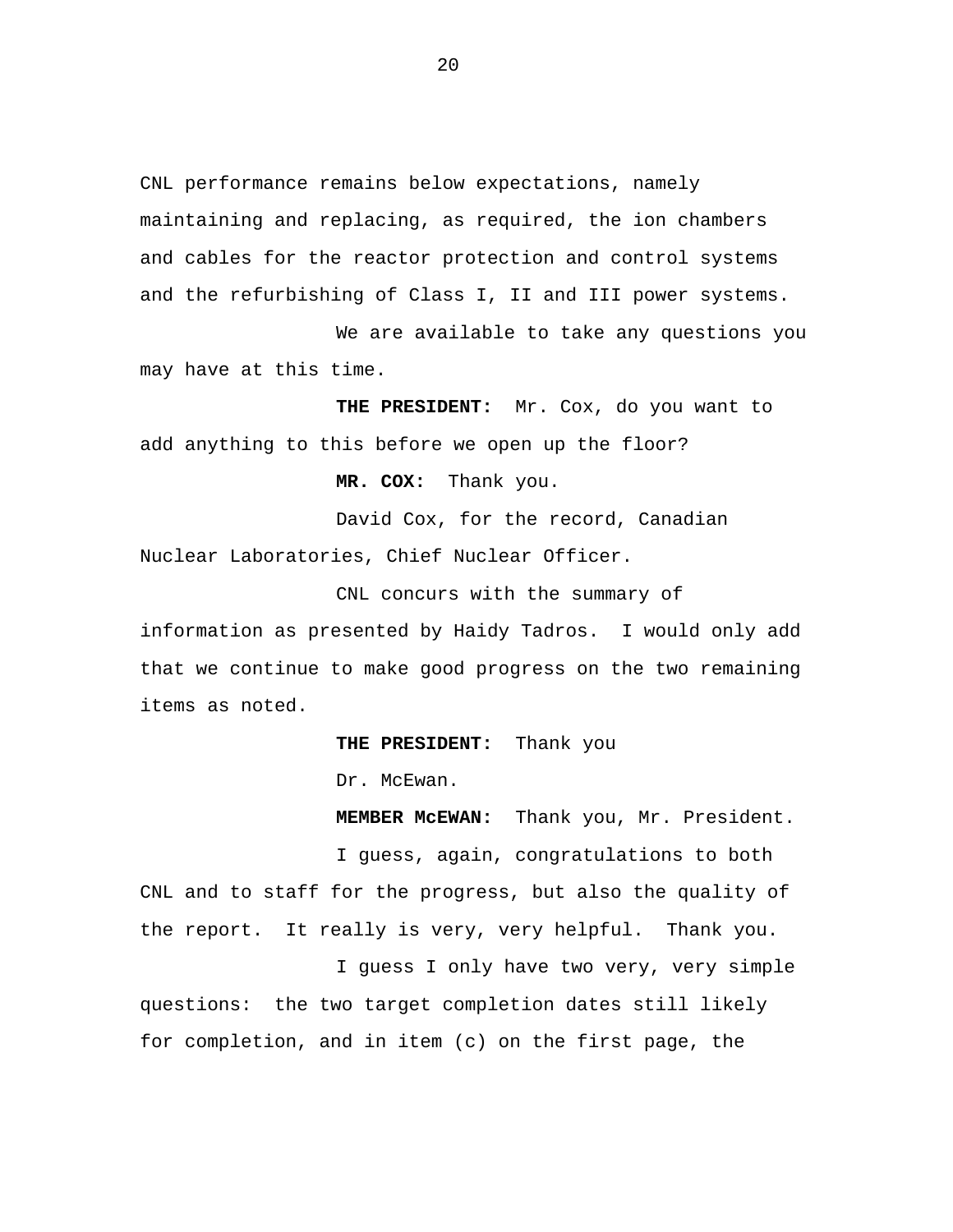CNL performance remains below expectations, namely maintaining and replacing, as required, the ion chambers and cables for the reactor protection and control systems and the refurbishing of Class I, II and III power systems.

We are available to take any questions you may have at this time.

**THE PRESIDENT:** Mr. Cox, do you want to add anything to this before we open up the floor?

**MR. COX:** Thank you.

David Cox, for the record, Canadian Nuclear Laboratories, Chief Nuclear Officer.

CNL concurs with the summary of information as presented by Haidy Tadros. I would only add that we continue to make good progress on the two remaining items as noted.

**THE PRESIDENT:** Thank you

Dr. McEwan.

**MEMBER McEWAN:** Thank you, Mr. President.

I guess, again, congratulations to both CNL and to staff for the progress, but also the quality of the report. It really is very, very helpful. Thank you.

I guess I only have two very, very simple questions: the two target completion dates still likely for completion, and in item (c) on the first page, the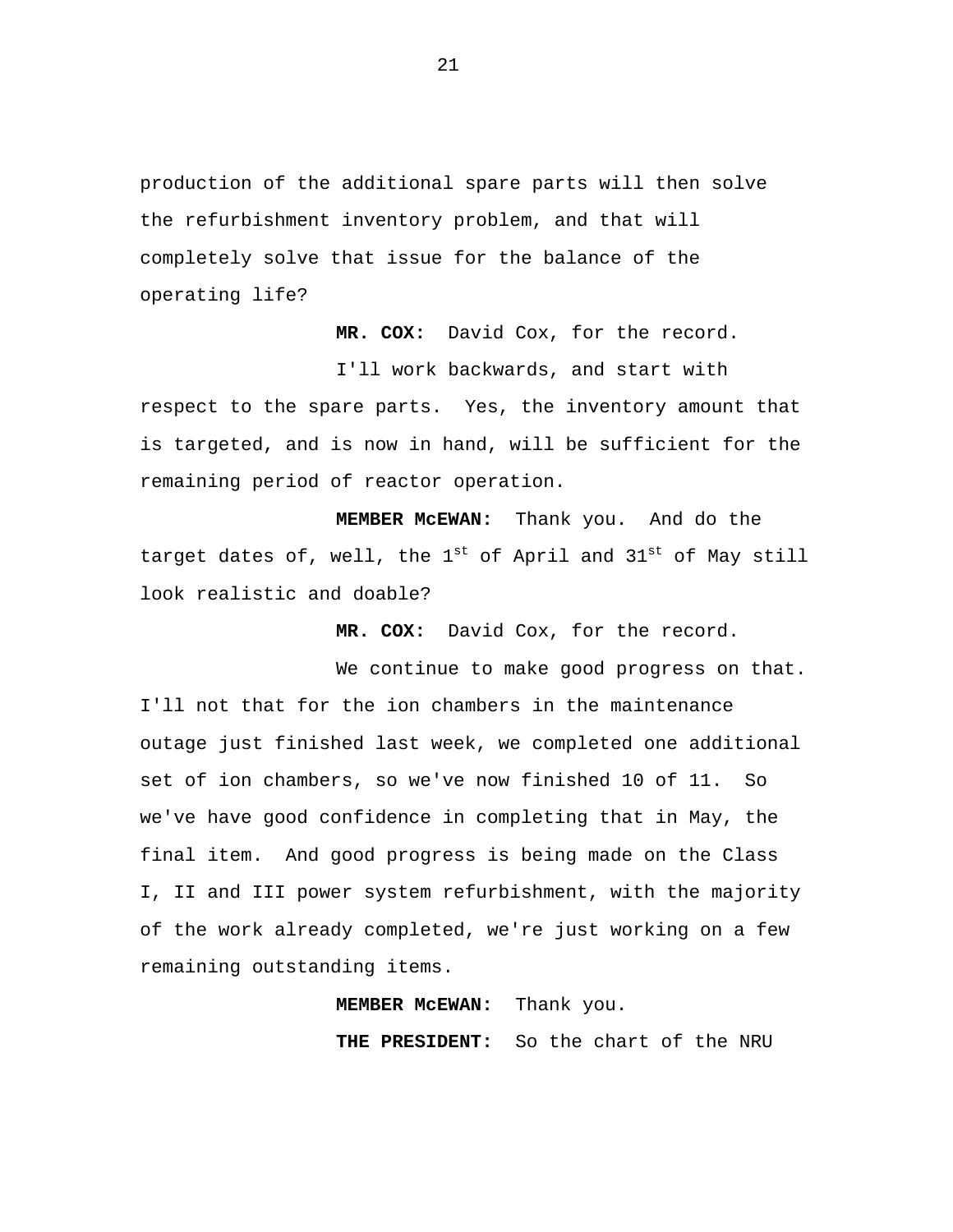production of the additional spare parts will then solve the refurbishment inventory problem, and that will completely solve that issue for the balance of the operating life?

**MR. COX:** David Cox, for the record.

I'll work backwards, and start with respect to the spare parts. Yes, the inventory amount that is targeted, and is now in hand, will be sufficient for the remaining period of reactor operation.

**MEMBER McEWAN:** Thank you. And do the target dates of, well, the  $1^{st}$  of April and  $31^{st}$  of May still look realistic and doable?

**MR. COX:** David Cox, for the record.

We continue to make good progress on that. I'll not that for the ion chambers in the maintenance outage just finished last week, we completed one additional set of ion chambers, so we've now finished 10 of 11. So we've have good confidence in completing that in May, the final item. And good progress is being made on the Class I, II and III power system refurbishment, with the majority of the work already completed, we're just working on a few remaining outstanding items.

**MEMBER McEWAN:** Thank you.

**THE PRESIDENT:** So the chart of the NRU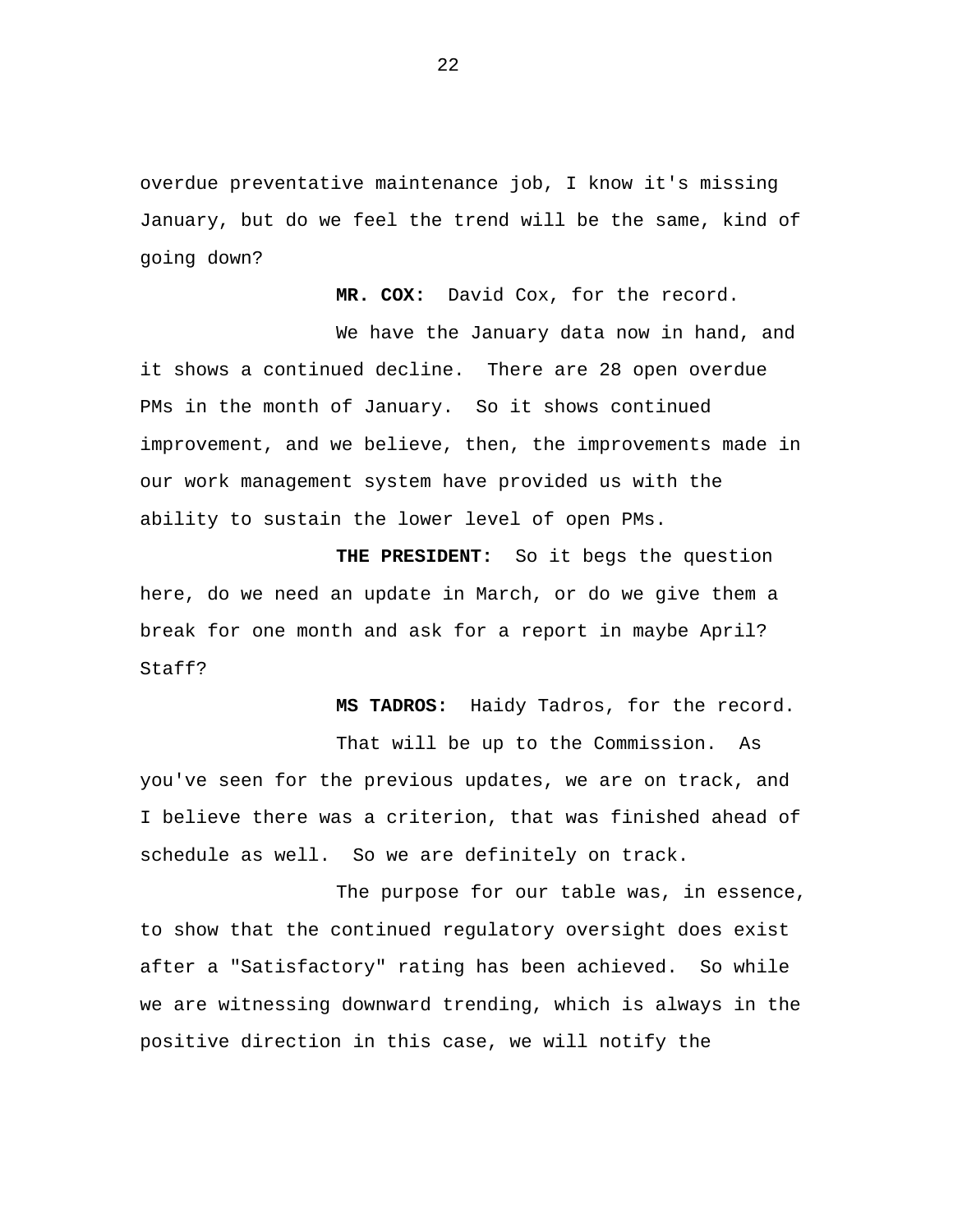overdue preventative maintenance job, I know it's missing January, but do we feel the trend will be the same, kind of going down?

**MR. COX:** David Cox, for the record.

We have the January data now in hand, and it shows a continued decline. There are 28 open overdue PMs in the month of January. So it shows continued improvement, and we believe, then, the improvements made in our work management system have provided us with the ability to sustain the lower level of open PMs.

**THE PRESIDENT:** So it begs the question here, do we need an update in March, or do we give them a break for one month and ask for a report in maybe April? Staff?

**MS TADROS:** Haidy Tadros, for the record.

That will be up to the Commission. As you've seen for the previous updates, we are on track, and I believe there was a criterion, that was finished ahead of schedule as well. So we are definitely on track.

The purpose for our table was, in essence, to show that the continued regulatory oversight does exist after a "Satisfactory" rating has been achieved. So while we are witnessing downward trending, which is always in the positive direction in this case, we will notify the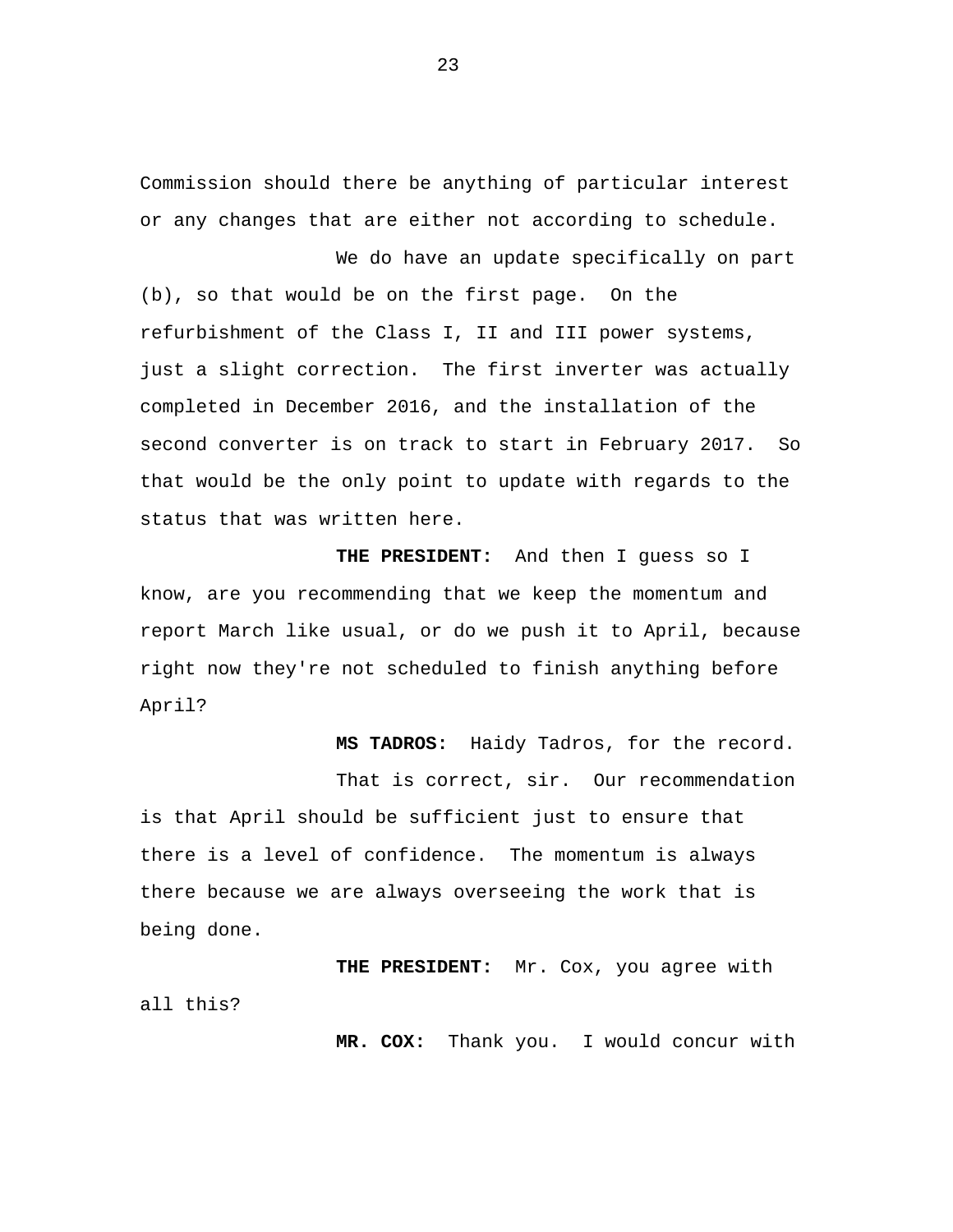Commission should there be anything of particular interest or any changes that are either not according to schedule.

We do have an update specifically on part (b), so that would be on the first page. On the refurbishment of the Class I, II and III power systems, just a slight correction. The first inverter was actually completed in December 2016, and the installation of the second converter is on track to start in February 2017. So that would be the only point to update with regards to the status that was written here.

 **THE PRESIDENT:** And then I guess so I know, are you recommending that we keep the momentum and report March like usual, or do we push it to April, because right now they're not scheduled to finish anything before April?

**MS TADROS:** Haidy Tadros, for the record.

That is correct, sir. Our recommendation is that April should be sufficient just to ensure that there is a level of confidence. The momentum is always there because we are always overseeing the work that is being done.

**THE PRESIDENT:** Mr. Cox, you agree with all this?

**MR. COX:** Thank you. I would concur with